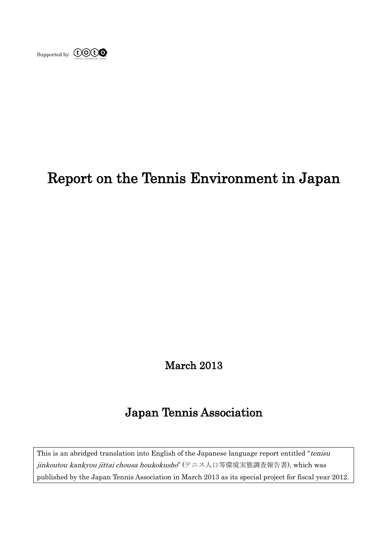

# Report on the Tennis Environment in Japan

# March 2013

# Japan Tennis Association

This is an abridged translation into English of the Japanese language report entitled "tenisu" jinkoutou kankyou jittai chousa houkokusho" (テニス人口等環境実態調査報告書), which was published by the Japan Tennis Association in March 2013 as its special project for fiscal year 2012.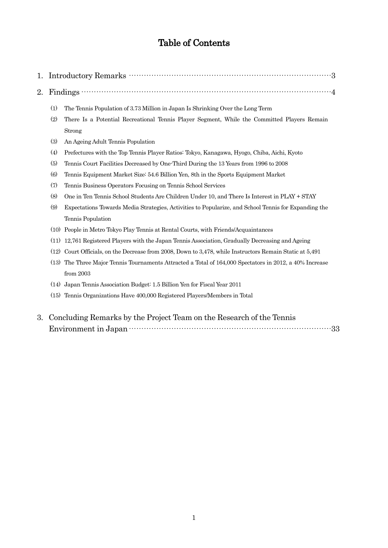# Table of Contents

|--|--|--|--|--|

- 2. Findings  $\cdots$   $\cdots$   $\cdots$   $\cdots$   $\cdots$   $\cdots$   $\cdots$   $\cdots$   $\cdots$   $\cdots$   $\cdots$   $\cdots$   $\cdots$   $\cdots$   $\cdots$   $\cdots$   $\cdots$   $\cdots$   $\cdots$   $\cdots$   $\cdots$   $\cdots$   $\cdots$   $\cdots$   $\cdots$   $\cdots$   $\cdots$   $\cdots$   $\cdots$   $\cdots$   $\cdots$   $\cdots$   $\cdots$   $\cdots$   $\cdots$ 
	- (1) The Tennis Population of 3.73 Million in Japan Is Shrinking Over the Long Term
	- (2) There Is a Potential Recreational Tennis Player Segment, While the Committed Players Remain Strong
	- (3) An Ageing Adult Tennis Population
	- (4) Prefectures with the Top Tennis Player Ratios: Tokyo, Kanagawa, Hyogo, Chiba, Aichi, Kyoto
	- (5) Tennis Court Facilities Decreased by One-Third During the 13 Years from 1996 to 2008
	- (6) Tennis Equipment Market Size: 54.6 Billion Yen, 8th in the Sports Equipment Market
	- (7) Tennis Business Operators Focusing on Tennis School Services
	- (8) One in Ten Tennis School Students Are Children Under 10, and There Is Interest in PLAY + STAY
	- (9) Expectations Towards Media Strategies, Activities to Popularize, and School Tennis for Expanding the Tennis Population
	- (10) People in Metro Tokyo Play Tennis at Rental Courts, with Friends/Acquaintances
	- (11) 12,761 Registered Players with the Japan Tennis Association, Gradually Decreasing and Ageing
	- (12) Court Officials, on the Decrease from 2008, Down to 3,478, while Instructors Remain Static at 5,491
	- (13) The Three Major Tennis Tournaments Attracted a Total of 164,000 Spectators in 2012, a 40% Increase from 2003
	- (14) Japan Tennis Association Budget: 1.5 Billion Yen for Fiscal Year 2011
	- (15) Tennis Organizations Have 400,000 Registered Players/Members in Total
- 3. Concluding Remarks by the Project Team on the Research of the Tennis Environment in Japan·················································································33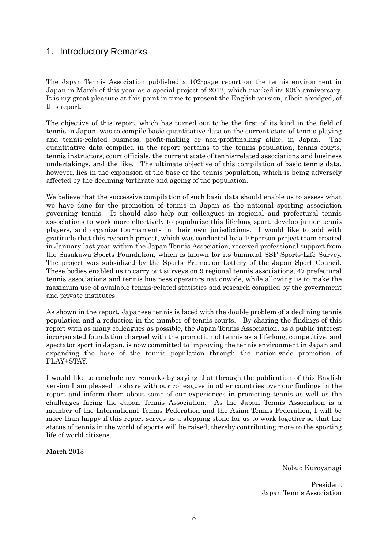## 1. Introductory Remarks

The Japan Tennis Association published a 102-page report on the tennis environment in Japan in March of this year as a special project of 2012, which marked its 90th anniversary. It is my great pleasure at this point in time to present the English version, albeit abridged, of this report.

The objective of this report, which has turned out to be the first of its kind in the field of tennis in Japan, was to compile basic quantitative data on the current state of tennis playing and tennis-related business, profit-making or non-profitmaking alike, in Japan. The quantitative data compiled in the report pertains to the tennis population, tennis courts, tennis instructors, court officials, the current state of tennis-related associations and business undertakings, and the like. The ultimate objective of this compilation of basic tennis data, however, lies in the expansion of the base of the tennis population, which is being adversely affected by the declining birthrate and ageing of the population.

We believe that the successive compilation of such basic data should enable us to assess what we have done for the promotion of tennis in Japan as the national sporting association governing tennis. It should also help our colleagues in regional and prefectural tennis associations to work more effectively to popularize this life-long sport, develop junior tennis players, and organize tournaments in their own jurisdictions. I would like to add with gratitude that this research project, which was conducted by a 10-person project team created in January last year within the Japan Tennis Association, received professional support from the Sasakawa Sports Foundation, which is known for its biannual SSF Sports-Life Survey. The project was subsidized by the Sports Promotion Lottery of the Japan Sport Council. These bodies enabled us to carry out surveys on 9 regional tennis associations, 47 prefectural tennis associations and tennis business operators nationwide, while allowing us to make the maximum use of available tennis-related statistics and research compiled by the government and private institutes.

As shown in the report, Japanese tennis is faced with the double problem of a declining tennis population and a reduction in the number of tennis courts. By sharing the findings of this report with as many colleagues as possible, the Japan Tennis Association, as a public-interest incorporated foundation charged with the promotion of tennis as a life-long, competitive, and spectator sport in Japan, is now committed to improving the tennis environment in Japan and expanding the base of the tennis population through the nation-wide promotion of PLAY+STAY.

I would like to conclude my remarks by saying that through the publication of this English version I am pleased to share with our colleagues in other countries over our findings in the report and inform them about some of our experiences in promoting tennis as well as the challenges facing the Japan Tennis Association. As the Japan Tennis Association is a member of the International Tennis Federation and the Asian Tennis Federation, I will be more than happy if this report serves as a stepping stone for us to work together so that the status of tennis in the world of sports will be raised, thereby contributing more to the sporting life of world citizens.

March 2013

Nobuo Kuroyanagi

President Japan Tennis Association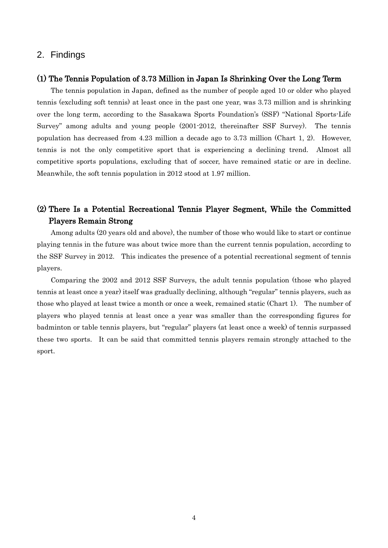### 2. Findings

#### (1) The Tennis Population of 3.73 Million in Japan Is Shrinking Over the Long Term

The tennis population in Japan, defined as the number of people aged 10 or older who played tennis (excluding soft tennis) at least once in the past one year, was 3.73 million and is shrinking over the long term, according to the Sasakawa Sports Foundation's (SSF) "National Sports-Life Survey" among adults and young people (2001-2012, thereinafter SSF Survey). The tennis population has decreased from 4.23 million a decade ago to 3.73 million (Chart 1, 2). However, tennis is not the only competitive sport that is experiencing a declining trend. Almost all competitive sports populations, excluding that of soccer, have remained static or are in decline. Meanwhile, the soft tennis population in 2012 stood at 1.97 million.

### (2) There Is a Potential Recreational Tennis Player Segment, While the Committed Players Remain Strong

Among adults (20 years old and above), the number of those who would like to start or continue playing tennis in the future was about twice more than the current tennis population, according to the SSF Survey in 2012. This indicates the presence of a potential recreational segment of tennis players.

Comparing the 2002 and 2012 SSF Surveys, the adult tennis population (those who played tennis at least once a year) itself was gradually declining, although "regular" tennis players, such as those who played at least twice a month or once a week, remained static (Chart 1). The number of players who played tennis at least once a year was smaller than the corresponding figures for badminton or table tennis players, but "regular" players (at least once a week) of tennis surpassed these two sports. It can be said that committed tennis players remain strongly attached to the sport.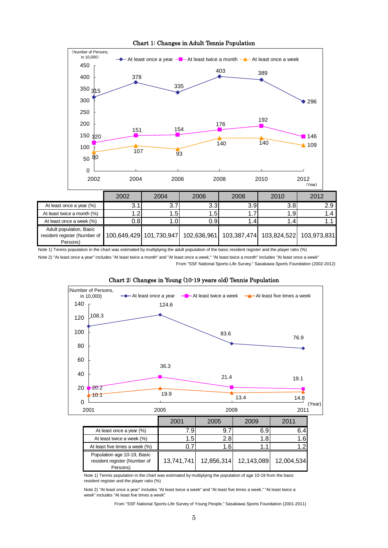Chart 1: Changes in Adult Tennis Population



600 Note 2) "At least once a year" includes "At least twice a month" and "At least once a week." "At least twice a month" includes "At least once a week" From "SSF National Sports-Life Survey," Sasakawa Sports Foundation (2002-2012)



# Chart 2: Changes in Young (10-19 years old) Tennis Population

At least five times a week (%)  $\begin{array}{|c|c|c|c|c|c|c|c|c|c|c|c|} \hline 0.7 & 1.6 & 1.1 & 1.2 \ \hline \end{array}$ 113.9 12,004,534 resident register (Number of 124.6  $\overline{\phantom{0}}$ 140 T 160 L At least once a year (%) **7.9 9.7** 6.9 6.4 At least twice a week (%) 1.5 1.5 2.8 1.8 1.6 Population age 10-19, Basic Persons) 13,741,741 12,856,314 12,143,089

Note 1) Tennis population in the chart was estimated by multiplying the population of age 10-19 from the basic<br>resident register and the player ratio (%) resident register and the player ratio (%)

Note 2) "At least once a year" includes "At least twice a week" and "At least five times a week." "At least twice a week" includes "At least five times a week"

From "SSF National Sports-Life Survey of Young People," Sasakawa Sports Foundation (2001-2011)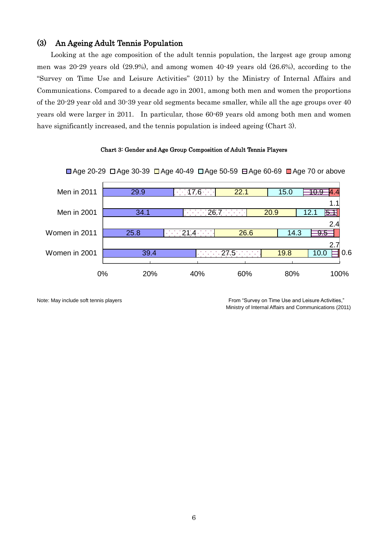### (3) An Ageing Adult Tennis Population

Looking at the age composition of the adult tennis population, the largest age group among men was 20-29 years old (29.9%), and among women 40-49 years old (26.6%), according to the "Survey on Time Use and Leisure Activities" (2011) by the Ministry of Internal Affairs and Communications. Compared to a decade ago in 2001, among both men and women the proportions of the 20-29 year old and 30-39 year old segments became smaller, while all the age groups over 40 years old were larger in 2011. In particular, those 60-69 years old among both men and women have significantly increased, and the tennis population is indeed ageing (Chart 3).

#### Chart 3: Gender and Age Group Composition of Adult Tennis Players



■ Age 20-29 □ Age 30-39 □ Age 40-49 □ Age 50-59 ⊟ Age 60-69 ■ Age 70 or above

Note: May include soft tennis players From "Survey on Time Use and Leisure Activities," Ministry of Internal Affairs and Communications (2011)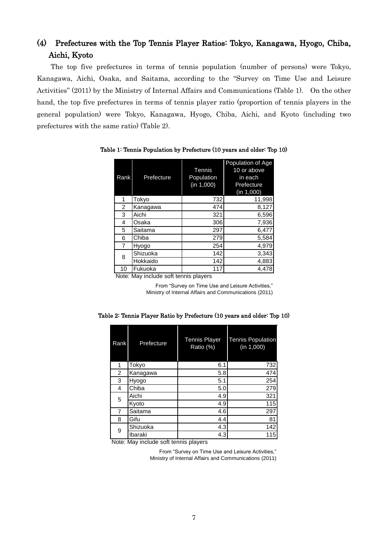# (4) Prefectures with the Top Tennis Player Ratios: Tokyo, Kanagawa, Hyogo, Chiba, Aichi, Kyoto

The top five prefectures in terms of tennis population (number of persons) were Tokyo, Kanagawa, Aichi, Osaka, and Saitama, according to the "Survey on Time Use and Leisure Activities" (2011) by the Ministry of Internal Affairs and Communications (Table 1). On the other hand, the top five prefectures in terms of tennis player ratio (proportion of tennis players in the general population) were Tokyo, Kanagawa, Hyogo, Chiba, Aichi, and Kyoto (including two prefectures with the same ratio) (Table 2).

| Rank           | Prefecture        | Tennis<br>Population<br>(in 1,000) | Population of Age<br>10 or above<br>in each<br>Prefecture<br>(in 1,000) |
|----------------|-------------------|------------------------------------|-------------------------------------------------------------------------|
| 1              | Tokyo             | 732                                | 11,998                                                                  |
| 2              | Kanagawa          | 474                                | 8,127                                                                   |
| 3              | Aichi             | 321                                | 6,596                                                                   |
| 4              | Osaka             | 306                                | 7,936                                                                   |
| 5              | Saitama           | 297                                | 6,477                                                                   |
| 6              | Chiba             | 279                                | 5,584                                                                   |
| 7              | Hyogo             | 254                                | 4,979                                                                   |
| 8              | Shizuoka          | 142                                | 3,343                                                                   |
|                | Hokkaido          | 142                                | 4,883                                                                   |
| 10<br>$\cdots$ | Fukuoka<br>.<br>. | 117                                | 4,478                                                                   |

Table 1: Tennis Population by Prefecture (10 years and older: Top 10)

Note: May include soft tennis players

From "Survey on Time Use and Leisure Activities," Ministry of Internal Affairs and Communications (2011)

| Rank           | Prefecture | <b>Tennis Player</b><br>Ratio (%) | <b>Tennis Population</b><br>(n 1,000) |  |  |
|----------------|------------|-----------------------------------|---------------------------------------|--|--|
| 1              | Tokyo      | 6.1                               | 732                                   |  |  |
| $\overline{2}$ | Kanagawa   | 5.8                               | 474                                   |  |  |
| 3              | Hyogo      | 5.1                               | 254                                   |  |  |
| 4              | Chiba      | 5.0                               | 279                                   |  |  |
| 5              | Aichi      | 4.9                               | 321                                   |  |  |
|                | Kyoto      | 4.9                               | 115                                   |  |  |
| 7              | Saitama    | 4.6                               | 297                                   |  |  |
| 8              | Gifu       | 4.4                               | 81                                    |  |  |
| 9              | Shizuoka   | 4.3                               | 142                                   |  |  |
|                | Ibaraki    | 4.3                               | 115                                   |  |  |

Table 2: Tennis Player Ratio by Prefecture (10 years and older: Top 10)

Note: May include soft tennis players

From "Survey on Time Use and Leisure Activities," Ministry of Internal Affairs and Communications (2011)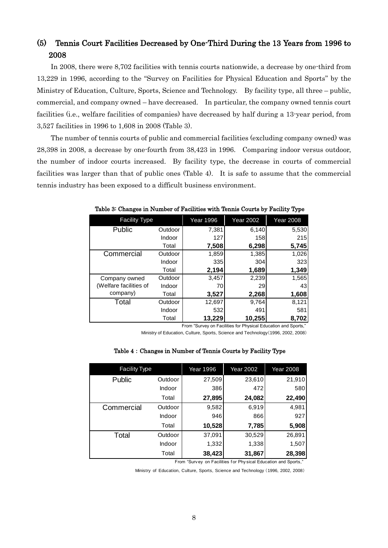# (5) Tennis Court Facilities Decreased by One-Third During the 13 Years from 1996 to 2008

In 2008, there were 8,702 facilities with tennis courts nationwide, a decrease by one-third from 13,229 in 1996, according to the "Survey on Facilities for Physical Education and Sports" by the Ministry of Education, Culture, Sports, Science and Technology. By facility type, all three – public, commercial, and company owned – have decreased. In particular, the company owned tennis court facilities (i.e., welfare facilities of companies) have decreased by half during a 13-year period, from 3,527 facilities in 1996 to 1,608 in 2008 (Table 3).

The number of tennis courts of public and commercial facilities (excluding company owned) was 28,398 in 2008, a decrease by one-fourth from 38,423 in 1996. Comparing indoor versus outdoor, the number of indoor courts increased. By facility type, the decrease in courts of commercial facilities was larger than that of public ones (Table 4). It is safe to assume that the commercial tennis industry has been exposed to a difficult business environment.

| <b>Facility Type</b>                                                                                                                                                                                                |         | <b>Year 1996</b> | <b>Year 2002</b> | <b>Year 2008</b> |  |  |  |  |  |
|---------------------------------------------------------------------------------------------------------------------------------------------------------------------------------------------------------------------|---------|------------------|------------------|------------------|--|--|--|--|--|
| Public                                                                                                                                                                                                              | Outdoor | 7,381            | 6,140            | 5,530            |  |  |  |  |  |
|                                                                                                                                                                                                                     | Indoor  | 127              | 158              | 215              |  |  |  |  |  |
|                                                                                                                                                                                                                     | Total   | 7,508            | 6,298            | 5,745            |  |  |  |  |  |
| Commercial                                                                                                                                                                                                          | Outdoor | 1,859            | 1,385            | 1,026            |  |  |  |  |  |
|                                                                                                                                                                                                                     | Indoor  | 335              | 304              | 323              |  |  |  |  |  |
|                                                                                                                                                                                                                     | Total   | 2,194            | 1,689            | 1,349            |  |  |  |  |  |
| Company owned                                                                                                                                                                                                       | Outdoor | 3,457            | 2,239            | 1,565            |  |  |  |  |  |
| (Welfare facilities of                                                                                                                                                                                              | Indoor  | 70               | 29               | 43               |  |  |  |  |  |
| company)                                                                                                                                                                                                            | Total   | 3,527            | 2,268            | 1,608            |  |  |  |  |  |
| Total                                                                                                                                                                                                               | Outdoor | 12,697           | 9,764            | 8,121            |  |  |  |  |  |
|                                                                                                                                                                                                                     | Indoor  | 532              | 491              | 581              |  |  |  |  |  |
|                                                                                                                                                                                                                     | Total   | 13,229           | 10,255           | 8,702            |  |  |  |  |  |
| From "Survey on Facilities for Physical Education and Sports,"<br>Ministry of Education, Culture, Sports, Science and Technology (1996, 2002, 2008)<br>Table 4: Changes in Number of Tennis Courts by Facility Type |         |                  |                  |                  |  |  |  |  |  |
| <b>Facility Type</b>                                                                                                                                                                                                |         | Year 1996        | <b>Year 2002</b> | <b>Year 2008</b> |  |  |  |  |  |

Table 3: Changes in Number of Facilities with Tennis Courts by Facility Type

| Table 4 : Changes in Number of Tennis Courts by Facility Type |  |  |  |  |  |  |  |  |  |  |  |  |  |  |
|---------------------------------------------------------------|--|--|--|--|--|--|--|--|--|--|--|--|--|--|
|---------------------------------------------------------------|--|--|--|--|--|--|--|--|--|--|--|--|--|--|

| Facility Type |         | Year 1996 | <b>Year 2002</b> | <b>Year 2008</b> |
|---------------|---------|-----------|------------------|------------------|
| Public        | Outdoor | 27,509    | 23,610           | 21,910           |
|               | Indoor  | 386       | 472              | 580              |
|               | Total   | 27,895    | 24,082           | 22,490           |
| Commercial    | Outdoor | 9,582     | 6,919            | 4,981            |
|               | Indoor  | 946       | 866              | 927              |
|               | Total   | 10,528    | 7,785            | 5,908            |
| Total         | Outdoor | 37,091    | 30,529           | 26,891           |
|               | Indoor  | 1,332     | 1,338            | 1,507            |
|               | Total   | 38,423    | 31,867           | 28,398           |

From "Surv ey on Facilities for Phy sical Education and Sports,"

Ministry of Education, Culture, Sports, Science and Technology (1996, 2002, 2008)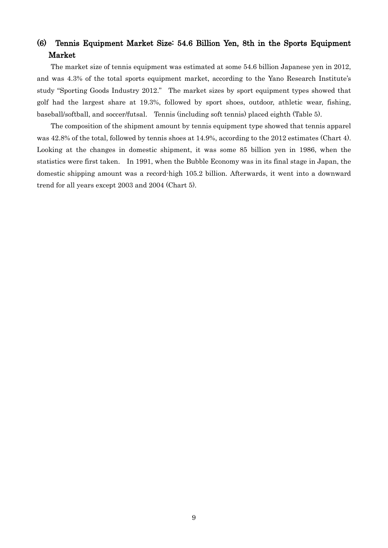## (6) Tennis Equipment Market Size: 54.6 Billion Yen, 8th in the Sports Equipment Market

The market size of tennis equipment was estimated at some 54.6 billion Japanese yen in 2012, and was 4.3% of the total sports equipment market, according to the Yano Research Institute's study "Sporting Goods Industry 2012." The market sizes by sport equipment types showed that golf had the largest share at 19.3%, followed by sport shoes, outdoor, athletic wear, fishing, baseball/softball, and soccer/futsal. Tennis (including soft tennis) placed eighth (Table 5).

The composition of the shipment amount by tennis equipment type showed that tennis apparel was 42.8% of the total, followed by tennis shoes at 14.9%, according to the 2012 estimates (Chart 4). Looking at the changes in domestic shipment, it was some 85 billion yen in 1986, when the statistics were first taken. In 1991, when the Bubble Economy was in its final stage in Japan, the domestic shipping amount was a record-high 105.2 billion. Afterwards, it went into a downward trend for all years except 2003 and 2004 (Chart 5).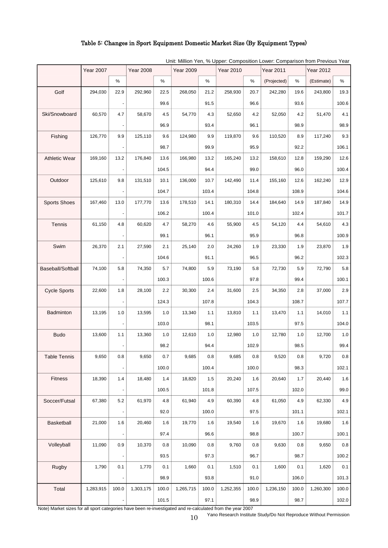### Table 5: Changes in Sport Equipment Domestic Market Size (By Equipment Types)

|                          | <b>Year 2007</b> |                          | <b>Year 2008</b> |       | <b>Year 2009</b> |       | <b>Year 2010</b> |       | <b>Year 2011</b> |       | <b>Year 2012</b> |       |
|--------------------------|------------------|--------------------------|------------------|-------|------------------|-------|------------------|-------|------------------|-------|------------------|-------|
|                          |                  | %                        |                  | %     |                  | %     |                  | %     | (Projected)      | %     | (Estimate)       | %     |
| Golf                     | 294,030          | 22.9                     | 292,960          | 22.5  | 268,050          | 21.2  | 258,930          | 20.7  | 242,280          | 19.6  | 243,800          | 19.3  |
|                          |                  |                          |                  | 99.6  |                  | 91.5  |                  | 96.6  |                  | 93.6  |                  | 100.6 |
| Ski/Snowboard            | 60,570           | 4.7                      | 58,670           | 4.5   | 54,770           | 4.3   | 52,650           | 4.2   | 52,050           | 4.2   | 51,470           | 4.1   |
|                          |                  |                          |                  | 96.9  |                  | 93.4  |                  | 96.1  |                  | 98.9  |                  | 98.9  |
| Fishing                  | 126,770          | 9.9                      | 125,110          | 9.6   | 124,980          | 9.9   | 119,870          | 9.6   | 110,520          | 8.9   | 117,240          | 9.3   |
|                          |                  |                          |                  | 98.7  |                  | 99.9  |                  | 95.9  |                  | 92.2  |                  | 106.1 |
| <b>Athletic Wear</b>     | 169,160          | 13.2                     | 176,840          | 13.6  | 166,980          | 13.2  | 165,240          | 13.2  | 158,610          | 12.8  | 159,290          | 12.6  |
|                          |                  |                          |                  | 104.5 |                  | 94.4  |                  | 99.0  |                  | 96.0  |                  | 100.4 |
| Outdoor                  | 125,610          | 9.8                      | 131,510          | 10.1  | 136,000          | 10.7  | 142,490          | 11.4  | 155,160          | 12.6  | 162,240          | 12.9  |
|                          |                  |                          |                  | 104.7 |                  | 103.4 |                  | 104.8 |                  | 108.9 |                  | 104.6 |
| <b>Sports Shoes</b>      | 167,460          | 13.0                     | 177,770          | 13.6  | 178,510          | 14.1  | 180,310          | 14.4  | 184,640          | 14.9  | 187,840          | 14.9  |
|                          |                  |                          |                  | 106.2 |                  | 100.4 |                  | 101.0 |                  | 102.4 |                  | 101.7 |
| <b>Tennis</b>            | 61,150           | 4.8                      | 60,620           | 4.7   | 58,270           | 4.6   | 55,900           | 4.5   | 54,120           | 4.4   | 54,610           | 4.3   |
|                          |                  |                          |                  | 99.1  |                  | 96.1  |                  | 95.9  |                  | 96.8  |                  | 100.9 |
| Swim                     | 26,370           | 2.1                      | 27,590           | 2.1   | 25,140           | 2.0   | 24,260           | 1.9   | 23,330           | 1.9   | 23,870           | 1.9   |
|                          |                  |                          |                  | 104.6 |                  | 91.1  |                  | 96.5  |                  | 96.2  |                  | 102.3 |
| <b>Baseball/Softball</b> | 74,100           | 5.8                      | 74,350           | 5.7   | 74,800           | 5.9   | 73,190           | 5.8   | 72,730           | 5.9   | 72,790           | 5.8   |
|                          |                  |                          |                  | 100.3 |                  | 100.6 |                  | 97.8  |                  | 99.4  |                  | 100.1 |
| <b>Cycle Sports</b>      | 22,600           | 1.8                      | 28,100           | 2.2   | 30,300           | 2.4   | 31,600           | 2.5   | 34,350           | 2.8   | 37,000           | 2.9   |
|                          |                  |                          |                  | 124.3 |                  | 107.8 |                  | 104.3 |                  | 108.7 |                  | 107.7 |
| Badminton                | 13,195           | 1.0                      | 13,595           | 1.0   | 13,340           | 1.1   | 13,810           | 1.1   | 13,470           | 1.1   | 14,010           | 1.1   |
|                          |                  |                          |                  | 103.0 |                  | 98.1  |                  | 103.5 |                  | 97.5  |                  | 104.0 |
| <b>Budo</b>              | 13,600           | 1.1                      | 13,360           | 1.0   | 12,610           | 1.0   | 12,980           | 1.0   | 12,780           | 1.0   | 12,700           | 1.0   |
|                          |                  |                          |                  | 98.2  |                  | 94.4  |                  | 102.9 |                  | 98.5  |                  | 99.4  |
| <b>Table Tennis</b>      | 9,650            | 0.8                      | 9,650            | 0.7   | 9,685            | 0.8   | 9,685            | 0.8   | 9,520            | 0.8   | 9,720            | 0.8   |
|                          |                  |                          |                  | 100.0 |                  | 100.4 |                  | 100.0 |                  | 98.3  |                  | 102.1 |
| <b>Fitness</b>           | 18,390           | 1.4                      | 18,480           | 1.4   | 18,820           | 1.5   | 20,240           | 1.6   | 20,640           | 1.7   | 20,440           | 1.6   |
|                          |                  | $\overline{\phantom{a}}$ |                  | 100.5 |                  | 101.8 |                  | 107.5 |                  | 102.0 |                  | 99.0  |
| Soccer/Futsal            | 67,380           | $5.2\,$                  | 61,970           | 4.8   | 61,940           | 4.9   | 60,390           | 4.8   | 61,050           | 4.9   | 62,330           | 4.9   |
|                          |                  | $\overline{\phantom{a}}$ |                  | 92.0  |                  | 100.0 |                  | 97.5  |                  | 101.1 |                  | 102.1 |
| Basketball               | 21,000           | 1.6                      | 20,460           | 1.6   | 19,770           | 1.6   | 19,540           | 1.6   | 19,670           | 1.6   | 19,680           | 1.6   |
|                          |                  |                          |                  | 97.4  |                  | 96.6  |                  | 98.8  |                  | 100.7 |                  | 100.1 |
| Volleyball               | 11,090           | 0.9                      | 10,370           | 0.8   | 10,090           | 0.8   | 9,760            | 0.8   | 9,630            | 0.8   | 9,650            | 0.8   |
|                          |                  | $\frac{1}{2}$            |                  | 93.5  |                  | 97.3  |                  | 96.7  |                  | 98.7  |                  | 100.2 |
| <b>Rugby</b>             | 1,790            | 0.1                      | 1,770            | 0.1   | 1,660            | 0.1   | 1,510            | 0.1   | 1,600            | 0.1   | 1,620            | 0.1   |
|                          |                  |                          |                  | 98.9  |                  | 93.8  |                  | 91.0  |                  | 106.0 |                  | 101.3 |
| Total                    | 1,283,915        | 100.0                    | 1,303,175        | 100.0 | 1,265,715        | 100.0 | 1,252,355        | 100.0 | 1,236,150        | 100.0 | 1,260,300        | 100.0 |
|                          |                  |                          |                  | 101.5 |                  | 97.1  |                  | 98.9  |                  | 98.7  |                  | 102.0 |

Unit: Million Yen, % Upper: Composition Lower: Comparison from Previous Year

Note) Market sizes for all sport categories have been re-investigated and re-calculated from the year 2007

Yano Research Institute Study/Do Not Reproduce Without Permission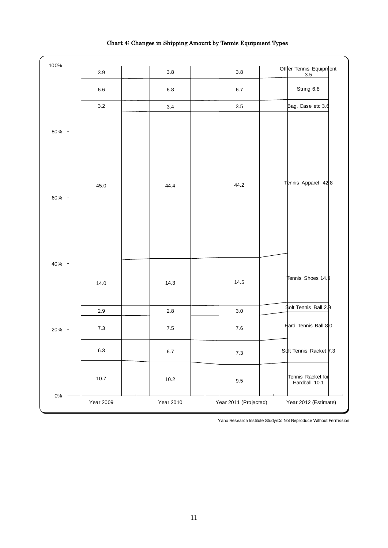| 100%  |                  |           |                       |                                    |
|-------|------------------|-----------|-----------------------|------------------------------------|
|       | 3.9              | 3.8       | $3.8\,$               | Other Tennis Equipment<br>3.5      |
|       | 6.6              | 6.8       | $6.7\,$               | String 6.8                         |
|       | $3.2\,$          | 3.4       | 3.5                   | Bag, Case etc 3.6                  |
| 80%   |                  |           |                       |                                    |
| 60%   | 45.0             | 44.4      | 44.2                  | Tennis Apparel 428                 |
| 40%   | 14.0             | 14.3      | 14.5                  | Tennis Shoes 14. $\frac{1}{2}$     |
|       | 2.9              | $2.8\,$   | $3.0\,$               | \$oft Tennis Ball 2.9              |
| 20%   | $7.3\,$          | 7.5       | $7.6$                 | Hard Tennis Ball 80                |
|       | 6.3              | $6.7\,$   | 7.3                   | Soft Tennis Racket 7.3             |
|       | 10.7             | $10.2\,$  | 9.5                   | Tennis Racket for<br>Hardball 10.1 |
| $0\%$ | <b>Year 2009</b> | Year 2010 | Year 2011 (Projected) | Year 2012 (Estimate)               |

### Chart 4: Changes in Shipping Amount by Tennis Equipment Types

 $\overline{a}$ 

Yano Research Institute Study/Do Not Reproduce Without Permission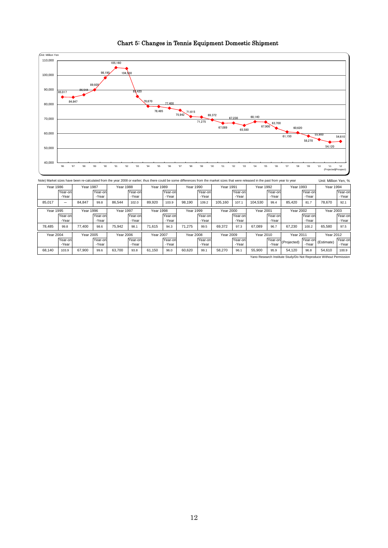

Chart 5: Changes in Tennis Equipment Domestic Shipment

Note) Market sizes have been re-calculated from the year 2008 or earlier; thus there could be some differences from the market sizes that were released in the past from year to year Unit: Million Yen, % (Projected) (Estimate) Yano Research Institute Study/Do Not Reproduce Without Permission 78,485 99.8 Year 1995 99.4 Year 1991 | Year 1992 Year-o -Year Year-o -Year Year-on -Year Year 2010 98,190 | 109.2 | 105,160 | 107.1 | 104,530 Year-o -Year Year 1990 Year-o -Year Year 2000 Year 2001 98.6 75,942 98.1 Year 2005 Year 1996 Year 1997 Year-o -Year Year 2011 Year-o -Year Year 2002 Year-o -Year 67,230 96.7 65,580 Year 1993 Year-o -Year Year 2003 Year-o -Year Year 1994 Year-on -Year 85,420 81.7 78,670 92.1 Year-o -Year 100.2 65,580 97.5 Year 2012 Year-on -Year 95.9 96.1 55,900 54,120 96.8 54,610 100.9 Year-o -Year 99.1 Year-o - Year Year 2008 Year-o -Year 71,275 99.5 Year 2009 61,150 96.0 60,620 58,270 69,372 67,089 Year-o -Year 97.3 Year 1998 Year 1988 Year 1989 89,920 103.9 Year 1999 86,544 102.0 Year-on -Year 103.9 67,900 99.6 63,700 93.8 94.3 Year-o -Year 71,615 Year-o -Year Year-on -Yea Year 2006 Year 2007 Year-o - Year Year-o -Year Year-o -Year Year 1987 77,400 84,847 99.8 Year-o -Year 68,140 Year 1986 Year 2004 85,017 Year-on -Year - Year-c -Year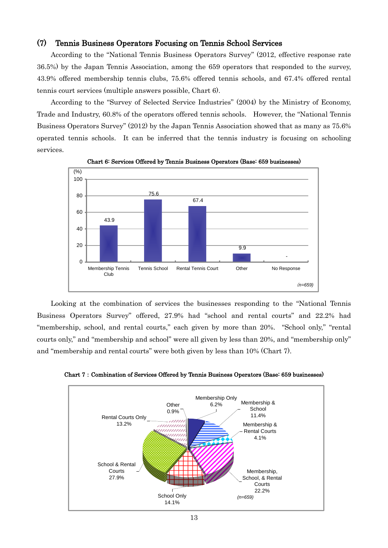### (7) Tennis Business Operators Focusing on Tennis School Services

According to the "National Tennis Business Operators Survey" (2012, effective response rate 36.5%) by the Japan Tennis Association, among the 659 operators that responded to the survey, 43.9% offered membership tennis clubs, 75.6% offered tennis schools, and 67.4% offered rental tennis court services (multiple answers possible, Chart 6).

According to the "Survey of Selected Service Industries" (2004) by the Ministry of Economy, Trade and Industry, 60.8% of the operators offered tennis schools. However, the "National Tennis Business Operators Survey" (2012) by the Japan Tennis Association showed that as many as 75.6% operated tennis schools. It can be inferred that the tennis industry is focusing on schooling services.



Chart 6: Services Offered by Tennis Business Operators (Base: 659 businesses)

Looking at the combination of services the businesses responding to the "National Tennis Business Operators Survey" offered, 27.9% had "school and rental courts" and 22.2% had "membership, school, and rental courts," each given by more than 20%. "School only," "rental courts only," and "membership and school" were all given by less than 20%, and "membership only" and "membership and rental courts" were both given by less than 10% (Chart 7).



Chart 7: Combination of Services Offered by Tennis Business Operators (Base: 659 businesses)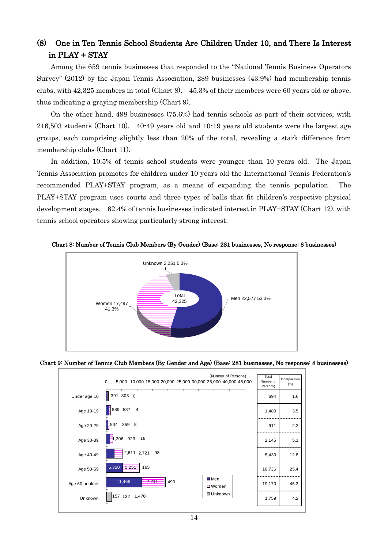# (8) One in Ten Tennis School Students Are Children Under 10, and There Is Interest in PLAY + STAY

Among the 659 tennis businesses that responded to the "National Tennis Business Operators Survey" (2012) by the Japan Tennis Association, 289 businesses (43.9%) had membership tennis clubs, with 42,325 members in total (Chart 8). 45.3% of their members were 60 years old or above, thus indicating a graying membership (Chart 9).

On the other hand, 498 businesses (75.6%) had tennis schools as part of their services, with 216,503 students (Chart 10). 40-49 years old and 10-19 years old students were the largest age groups, each comprising slightly less than 20% of the total, revealing a stark difference from membership clubs (Chart 11).

In addition, 10.5% of tennis school students were younger than 10 years old. The Japan Tennis Association promotes for children under 10 years old the International Tennis Federation's recommended PLAY+STAY program, as a means of expanding the tennis population. The PLAY+STAY program uses courts and three types of balls that fit children's respective physical development stages. 62.4% of tennis businesses indicated interest in PLAY+STAY (Chart 12), with tennis school operators showing particularly strong interest.



Chart 8: Number of Tennis Club Members (By Gender) (Base: 281 businesses, No response: 8 businesses)



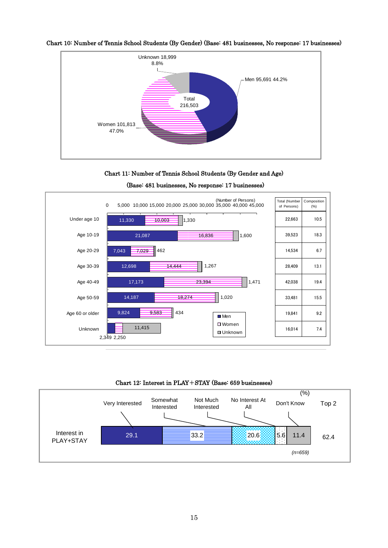

Chart 10: Number of Tennis School Students (By Gender) (Base: 481 businesses, No response: 17 businesses)





(Base: 481 businesses, No response: 17 businesses)

Chart 12: Interest in PLAY+STAY (Base: 659 businesses)

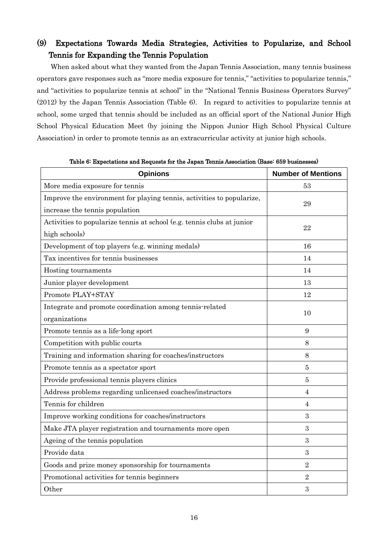# (9) Expectations Towards Media Strategies, Activities to Popularize, and School Tennis for Expanding the Tennis Population

When asked about what they wanted from the Japan Tennis Association, many tennis business operators gave responses such as "more media exposure for tennis," "activities to popularize tennis," and "activities to popularize tennis at school" in the "National Tennis Business Operators Survey" (2012) by the Japan Tennis Association (Table 6). In regard to activities to popularize tennis at school, some urged that tennis should be included as an official sport of the National Junior High School Physical Education Meet (by joining the Nippon Junior High School Physical Culture Association) in order to promote tennis as an extracurricular activity at junior high schools.

| <b>Opinions</b>                                                        | <b>Number of Mentions</b> |
|------------------------------------------------------------------------|---------------------------|
| More media exposure for tennis                                         | 53                        |
| Improve the environment for playing tennis, activities to popularize,  | 29                        |
| increase the tennis population                                         |                           |
| Activities to popularize tennis at school (e.g. tennis clubs at junior | 22                        |
| high schools)                                                          |                           |
| Development of top players (e.g. winning medals)                       | 16                        |
| Tax incentives for tennis businesses                                   | 14                        |
| Hosting tournaments                                                    | 14                        |
| Junior player development                                              | 13                        |
| Promote PLAY+STAY                                                      | 12                        |
| Integrate and promote coordination among tennis-related                |                           |
| organizations                                                          | 10                        |
| Promote tennis as a life-long sport                                    | 9                         |
| Competition with public courts                                         | 8                         |
| Training and information sharing for coaches/instructors               | 8                         |
| Promote tennis as a spectator sport                                    | 5                         |
| Provide professional tennis players clinics                            | 5                         |
| Address problems regarding unlicensed coaches/instructors              | 4                         |
| Tennis for children                                                    | $\overline{4}$            |
| Improve working conditions for coaches/instructors                     | 3                         |
| Make JTA player registration and tournaments more open                 | 3                         |
| Ageing of the tennis population                                        | 3                         |
| Provide data                                                           | 3                         |
| Goods and prize money sponsorship for tournaments                      | $\overline{2}$            |
| Promotional activities for tennis beginners                            | $\overline{2}$            |
| Other                                                                  | 3                         |

Table 6: Expectations and Requests for the Japan Tennis Association (Base: 659 businesses)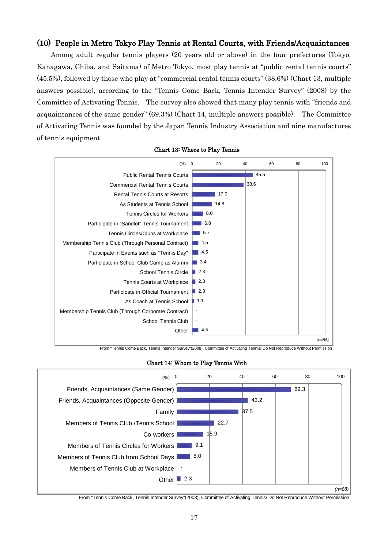### (10) People in Metro Tokyo Play Tennis at Rental Courts, with Friends/Acquaintances

Among adult regular tennis players (20 years old or above) in the four prefectures (Tokyo, Kanagawa, Chiba, and Saitama) of Metro Tokyo, most play tennis at "public rental tennis courts" (45.5%), followed by those who play at "commercial rental tennis courts" (38.6%) (Chart 13, multiple answers possible), according to the "Tennis Come Back, Tennis Intender Survey" (2008) by the Committee of Activating Tennis. The survey also showed that many play tennis with "friends and acquaintances of the same gender" (69.3%) (Chart 14, multiple answers possible). The Committee of Activating Tennis was founded by the Japan Tennis Industry Association and nine manufactures of tennis equipment.



#### Chart 13: Where to Play Tennis

From "Tennis Come Back, Tennis Intender Survey"(2008), Committee of Activating Tennis/ Do Not Reproduce Without Permission





From "Tennis Come Back, Tennis Intender Survey"(2008), Committee of Activating Tennis/ Do Not Reproduce Without Permission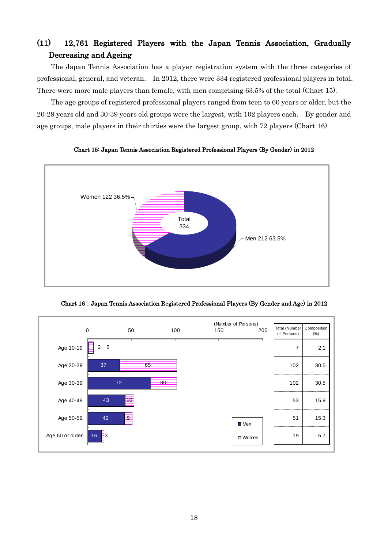# (11) 12,761 Registered Players with the Japan Tennis Association, Gradually Decreasing and Ageing

The Japan Tennis Association has a player registration system with the three categories of professional, general, and veteran. In 2012, there were 334 registered professional players in total. There were more male players than female, with men comprising 63.5% of the total (Chart 15).

The age groups of registered professional players ranged from teen to 60 years or older, but the 20-29 years old and 30-39 years old groups were the largest, with 102 players each. By gender and age groups, male players in their thirties were the largest group, with 72 players (Chart 16).



Chart 15: Japan Tennis Association Registered Professional Players (By Gender) in 2012



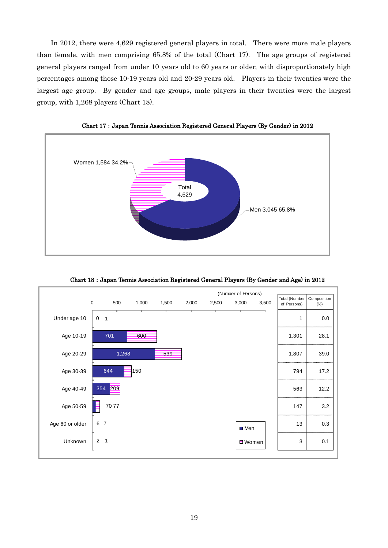In 2012, there were 4,629 registered general players in total. There were more male players than female, with men comprising 65.8% of the total (Chart 17). The age groups of registered general players ranged from under 10 years old to 60 years or older, with disproportionately high percentages among those 10-19 years old and 20-29 years old. Players in their twenties were the largest age group. By gender and age groups, male players in their twenties were the largest group, with 1,268 players (Chart 18).



Chart 17:Japan Tennis Association Registered General Players (By Gender) in 2012



Chart 18:Japan Tennis Association Registered General Players (By Gender and Age) in 2012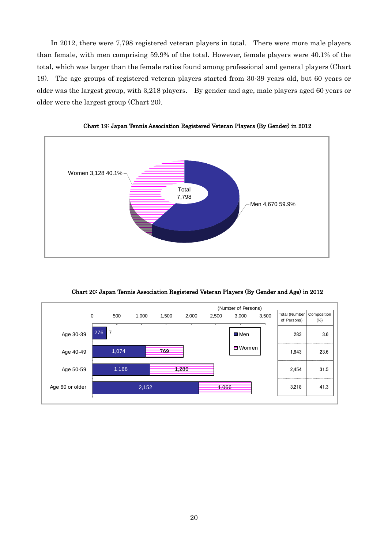In 2012, there were 7,798 registered veteran players in total. There were more male players than female, with men comprising 59.9% of the total. However, female players were 40.1% of the total, which was larger than the female ratios found among professional and general players (Chart 19). The age groups of registered veteran players started from 30-39 years old, but 60 years or older was the largest group, with 3,218 players. By gender and age, male players aged 60 years or older were the largest group (Chart 20).



Chart 19: Japan Tennis Association Registered Veteran Players (By Gender) in 2012

Chart 20: Japan Tennis Association Registered Veteran Players (By Gender and Age) in 2012

|                 |             |       |       |       |       |       | (Number of Persons) |       |                                |                     |
|-----------------|-------------|-------|-------|-------|-------|-------|---------------------|-------|--------------------------------|---------------------|
|                 | $\mathbf 0$ | 500   | 1,000 | 1,500 | 2,000 | 2,500 | 3,000               | 3,500 | Total (Number<br>of Persons)   | Composition<br>(% ) |
| Age 30-39       | 276         | 7     |       |       |       |       | ■ Men               |       | 283                            | 3.6                 |
| Age 40-49       |             | 1,074 |       | 769   |       |       | □ Women             |       | *********************<br>1,843 | 23.6                |
| Age 50-59       |             | 1,168 |       |       | .286  |       |                     |       | 2,454                          | 31.5                |
| Age 60 or older |             |       | 2,152 |       |       | 1,066 |                     |       | 3,218                          | 41.3                |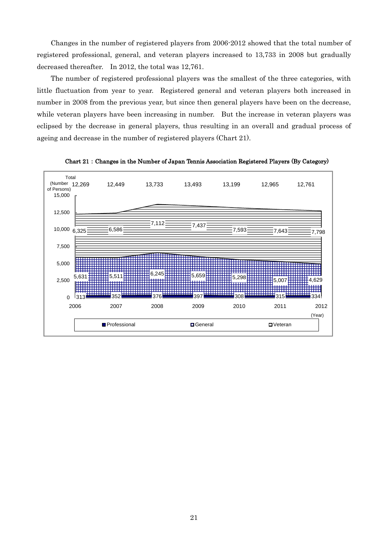Changes in the number of registered players from 2006-2012 showed that the total number of registered professional, general, and veteran players increased to 13,733 in 2008 but gradually decreased thereafter. In 2012, the total was 12,761.

The number of registered professional players was the smallest of the three categories, with little fluctuation from year to year. Registered general and veteran players both increased in number in 2008 from the previous year, but since then general players have been on the decrease, while veteran players have been increasing in number. But the increase in veteran players was eclipsed by the decrease in general players, thus resulting in an overall and gradual process of ageing and decrease in the number of registered players (Chart 21).



Chart 21:Changes in the Number of Japan Tennis Association Registered Players (By Category)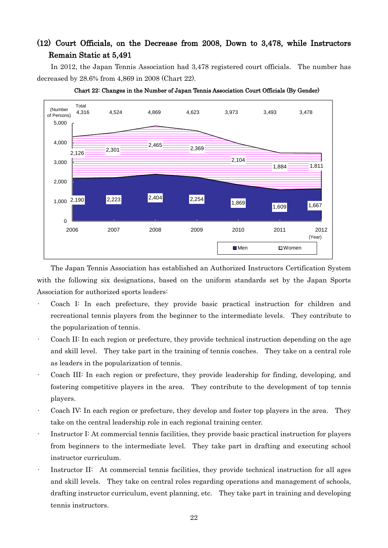## (12) Court Officials, on the Decrease from 2008, Down to 3,478, while Instructors Remain Static at 5,491

In 2012, the Japan Tennis Association had 3,478 registered court officials. The number has decreased by 28.6% from 4,869 in 2008 (Chart 22).





The Japan Tennis Association has established an Authorized Instructors Certification System with the following six designations, based on the uniform standards set by the Japan Sports Association for authorized sports leaders:

- Coach I: In each prefecture, they provide basic practical instruction for children and recreational tennis players from the beginner to the intermediate levels. They contribute to the popularization of tennis.
- Coach II: In each region or prefecture, they provide technical instruction depending on the age and skill level. They take part in the training of tennis coaches. They take on a central role as leaders in the popularization of tennis.
- Coach III: In each region or prefecture, they provide leadership for finding, developing, and fostering competitive players in the area. They contribute to the development of top tennis players.
- Coach IV: In each region or prefecture, they develop and foster top players in the area. They take on the central leadership role in each regional training center.
- Instructor I: At commercial tennis facilities, they provide basic practical instruction for players from beginners to the intermediate level. They take part in drafting and executing school instructor curriculum.
- Instructor II: At commercial tennis facilities, they provide technical instruction for all ages and skill levels. They take on central roles regarding operations and management of schools, drafting instructor curriculum, event planning, etc. They take part in training and developing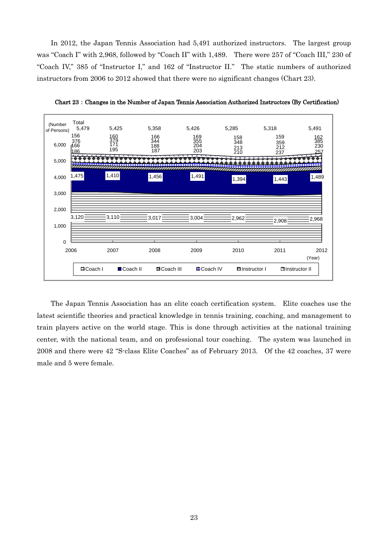In 2012, the Japan Tennis Association had 5,491 authorized instructors. The largest group was "Coach I" with 2,968, followed by "Coach II" with 1,489. There were 257 of "Coach III," 230 of "Coach IV," 385 of "Instructor I," and 162 of "Instructor II." The static numbers of authorized instructors from 2006 to 2012 showed that there were no significant changes (Chart 23).



Chart 23:Changes in the Number of Japan Tennis Association Authorized Instructors (By Certification)

The Japan Tennis Association has an elite coach certification system. Elite coaches use the latest scientific theories and practical knowledge in tennis training, coaching, and management to train players active on the world stage. This is done through activities at the national training center, with the national team, and on professional tour coaching. The system was launched in 2008 and there were 42 "S-class Elite Coaches" as of February 2013. Of the 42 coaches, 37 were male and 5 were female.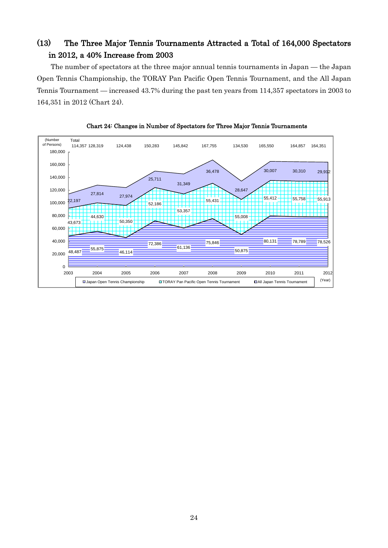# (13) The Three Major Tennis Tournaments Attracted a Total of 164,000 Spectators in 2012, a 40% Increase from 2003

The number of spectators at the three major annual tennis tournaments in Japan — the Japan Open Tennis Championship, the TORAY Pan Pacific Open Tennis Tournament, and the All Japan Tennis Tournament — increased 43.7% during the past ten years from 114,357 spectators in 2003 to 164,351 in 2012 (Chart 24).



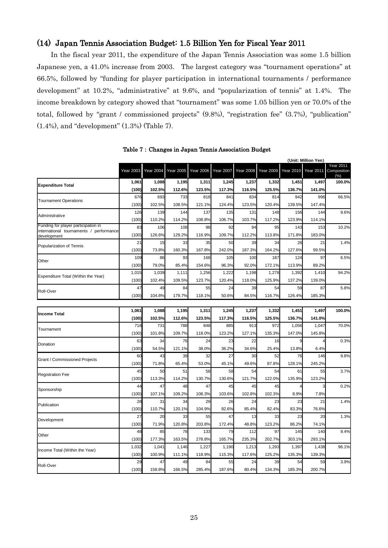### (14) Japan Tennis Association Budget: 1.5 Billion Yen for Fiscal Year 2011

In the fiscal year 2011, the expenditure of the Japan Tennis Association was some 1.5 billion Japanese yen, a 41.0% increase from 2003. The largest category was "tournament operations" at 66.5%, followed by "funding for player participation in international tournaments / performance development" at 10.2%, "administrative" at 9.6%, and "popularization of tennis" at 1.4%. The income breakdown by category showed that "tournament" was some 1.05 billion yen or 70.0% of the total, followed by "grant / commissioned projects" (9.8%), "registration fee" (3.7%), "publication" (1.4%), and "development" (1.3%) (Table 7).

|                                                                                |                  |                  |                                                                                                                                                                                                                                                                                                                                                                                                                                                                                                                                           |                  |                  |                                                                                                                                                                                                                                                                                                                                                                                                                                                                                                                                                                                                                                                                                                                                                                                                             |                  | (Unit: Million Yen) |                  |                                         |  |  |
|--------------------------------------------------------------------------------|------------------|------------------|-------------------------------------------------------------------------------------------------------------------------------------------------------------------------------------------------------------------------------------------------------------------------------------------------------------------------------------------------------------------------------------------------------------------------------------------------------------------------------------------------------------------------------------------|------------------|------------------|-------------------------------------------------------------------------------------------------------------------------------------------------------------------------------------------------------------------------------------------------------------------------------------------------------------------------------------------------------------------------------------------------------------------------------------------------------------------------------------------------------------------------------------------------------------------------------------------------------------------------------------------------------------------------------------------------------------------------------------------------------------------------------------------------------------|------------------|---------------------|------------------|-----------------------------------------|--|--|
|                                                                                | <b>Year 2003</b> | <b>Year 2004</b> | <b>Year 2005</b>                                                                                                                                                                                                                                                                                                                                                                                                                                                                                                                          | <b>Year 2006</b> | <b>Year 2007</b> |                                                                                                                                                                                                                                                                                                                                                                                                                                                                                                                                                                                                                                                                                                                                                                                                             | <b>Year 2009</b> | <b>Year 2010</b>    | <b>Year 2011</b> | <b>Year 2011</b><br>Composition<br>(% ) |  |  |
| <b>Expenditure Total</b>                                                       | 1,061            | 1,088            | 1,195                                                                                                                                                                                                                                                                                                                                                                                                                                                                                                                                     | 1,311            | 1,245            |                                                                                                                                                                                                                                                                                                                                                                                                                                                                                                                                                                                                                                                                                                                                                                                                             |                  | 1,451               | 1,497            | 100.0%                                  |  |  |
|                                                                                | (100)            | 102.5%           | 112.6%                                                                                                                                                                                                                                                                                                                                                                                                                                                                                                                                    | 123.5%           | 117.3%           | 116.5%                                                                                                                                                                                                                                                                                                                                                                                                                                                                                                                                                                                                                                                                                                                                                                                                      | 125.5%           | 136.7%              | 141.0%           |                                         |  |  |
| <b>Tournament Operations</b>                                                   | 676              | 693              | 733                                                                                                                                                                                                                                                                                                                                                                                                                                                                                                                                       | 818              | 841              | 834                                                                                                                                                                                                                                                                                                                                                                                                                                                                                                                                                                                                                                                                                                                                                                                                         |                  | 942                 | 996              | 66.5%                                   |  |  |
|                                                                                | (100)            | 102.5%           | 108.5%                                                                                                                                                                                                                                                                                                                                                                                                                                                                                                                                    | 121.1%           | 124.4%           | 123.5%                                                                                                                                                                                                                                                                                                                                                                                                                                                                                                                                                                                                                                                                                                                                                                                                      | 120.4%           | 139.5%              | 147.4%           |                                         |  |  |
| Administrative                                                                 | 126              | 139              | 144                                                                                                                                                                                                                                                                                                                                                                                                                                                                                                                                       | 137              | 135              | 131                                                                                                                                                                                                                                                                                                                                                                                                                                                                                                                                                                                                                                                                                                                                                                                                         |                  | 156                 | 144              | 9.6%                                    |  |  |
|                                                                                | (100)            | 110.2%           | 114.2%                                                                                                                                                                                                                                                                                                                                                                                                                                                                                                                                    | 108.8%           | 106.7%           | 103.7%                                                                                                                                                                                                                                                                                                                                                                                                                                                                                                                                                                                                                                                                                                                                                                                                      | 117.2%           | 123.9%              | 114.1%           |                                         |  |  |
| Funding for player participation in<br>international tournaments / performance | 83               | 106              | 108                                                                                                                                                                                                                                                                                                                                                                                                                                                                                                                                       | 98               | 92               |                                                                                                                                                                                                                                                                                                                                                                                                                                                                                                                                                                                                                                                                                                                                                                                                             | 95               | 143                 | 153              | 10.2%                                   |  |  |
| development                                                                    | (100)            | 126.6%           | 129.2%                                                                                                                                                                                                                                                                                                                                                                                                                                                                                                                                    | 116.9%           | 109.7%           | 112.2%                                                                                                                                                                                                                                                                                                                                                                                                                                                                                                                                                                                                                                                                                                                                                                                                      | 113.8%           | 171.8%              | 183.0%           |                                         |  |  |
| Popularization of Tennis                                                       | 21               | 15               | 33                                                                                                                                                                                                                                                                                                                                                                                                                                                                                                                                        | 35               | 50               | 39                                                                                                                                                                                                                                                                                                                                                                                                                                                                                                                                                                                                                                                                                                                                                                                                          | 34               | 26                  | 21               | 1.4%                                    |  |  |
|                                                                                | (100)            | 73.8%            | 160.3%                                                                                                                                                                                                                                                                                                                                                                                                                                                                                                                                    |                  | 242.0%           | 187.3%                                                                                                                                                                                                                                                                                                                                                                                                                                                                                                                                                                                                                                                                                                                                                                                                      | 164.2%           | 127.6%              | 99.5%            |                                         |  |  |
| Other                                                                          | 109              | 86               | 93                                                                                                                                                                                                                                                                                                                                                                                                                                                                                                                                        | 168              | 105              | 100                                                                                                                                                                                                                                                                                                                                                                                                                                                                                                                                                                                                                                                                                                                                                                                                         | 187              | 124                 | 97               | 6.5%                                    |  |  |
|                                                                                | (100)            | 79.0%            |                                                                                                                                                                                                                                                                                                                                                                                                                                                                                                                                           | 154.6%           | 96.3%            |                                                                                                                                                                                                                                                                                                                                                                                                                                                                                                                                                                                                                                                                                                                                                                                                             | 172.1%           | 113.9%              | 89.2%            |                                         |  |  |
| Expenditure Total (Within the Year)                                            | 1,015            | 1,039            |                                                                                                                                                                                                                                                                                                                                                                                                                                                                                                                                           | 1,256            | 1,222            |                                                                                                                                                                                                                                                                                                                                                                                                                                                                                                                                                                                                                                                                                                                                                                                                             | 1,278            | 1,392               | 1,410            | 94.2%                                   |  |  |
|                                                                                | (100)            | 102.4%           | 109.5%                                                                                                                                                                                                                                                                                                                                                                                                                                                                                                                                    | 123.7%           | 120.4%           | 118.0%                                                                                                                                                                                                                                                                                                                                                                                                                                                                                                                                                                                                                                                                                                                                                                                                      | 125.9%           | 137.2%              | 139.0%           |                                         |  |  |
| Roll-Over                                                                      | 47               | 49               | 84                                                                                                                                                                                                                                                                                                                                                                                                                                                                                                                                        | 55               | 24               | 39                                                                                                                                                                                                                                                                                                                                                                                                                                                                                                                                                                                                                                                                                                                                                                                                          | 54               | 59                  | 87               | 5.8%                                    |  |  |
|                                                                                | (100)            | 104.8%           | 179.7%                                                                                                                                                                                                                                                                                                                                                                                                                                                                                                                                    | 118.1%           | 50.6%            | 84.5%                                                                                                                                                                                                                                                                                                                                                                                                                                                                                                                                                                                                                                                                                                                                                                                                       | 116.7%           | 126.4%              | 185.3%           |                                         |  |  |
|                                                                                |                  |                  |                                                                                                                                                                                                                                                                                                                                                                                                                                                                                                                                           |                  |                  |                                                                                                                                                                                                                                                                                                                                                                                                                                                                                                                                                                                                                                                                                                                                                                                                             |                  |                     |                  |                                         |  |  |
| <b>Income Total</b>                                                            | 1,061            | 1,088            |                                                                                                                                                                                                                                                                                                                                                                                                                                                                                                                                           |                  |                  |                                                                                                                                                                                                                                                                                                                                                                                                                                                                                                                                                                                                                                                                                                                                                                                                             |                  |                     |                  | 100.0%                                  |  |  |
|                                                                                | (100)            | 102.5%           |                                                                                                                                                                                                                                                                                                                                                                                                                                                                                                                                           |                  |                  | <b>Year 2008</b><br>1,237<br>1,332<br>814<br>148<br>94<br>92.0%<br>1,198<br>1,237<br>1,332<br>1,451<br>1,497<br>116.5%<br>125.5%<br>136.7%<br>141.0%<br>913<br>972<br>1,056<br>1,047<br>127.1%<br>135.3%<br>147.0%<br>145.8%<br>22<br>16<br>9<br>34.6%<br>25.4%<br>6.4%<br>13.8%<br>76<br>30<br>52<br>146<br>87.8%<br>128.1%<br>245.2%<br>49.6%<br>54<br>54<br>61<br>55<br>122.0%<br>121.7%<br>135.9%<br>123.2%<br>45<br>45<br>3<br>102.8%<br>102.3%<br>8.9%<br>7.8%<br>24<br>23<br>23<br>21<br>85.4%<br>82.4%<br>83.3%<br>76.6%<br>23<br>13<br>33<br>20<br>123.2%<br>86.2%<br>48.8%<br>74.1%<br>112<br>97<br>145<br>140<br>235.3%<br>202.7%<br>303.1%<br>293.1%<br>1,213<br>1,293<br>1,397<br>1,438<br>125.2%<br>139.3%<br>117.6%<br>135.3%<br>24<br>39<br>54<br>59<br>80.4%<br>134.3%<br>185.3%<br>200.7% |                  |                     |                  |                                         |  |  |
| Tournament                                                                     | 718              | 731              |                                                                                                                                                                                                                                                                                                                                                                                                                                                                                                                                           |                  |                  |                                                                                                                                                                                                                                                                                                                                                                                                                                                                                                                                                                                                                                                                                                                                                                                                             |                  |                     |                  | 70.0%                                   |  |  |
|                                                                                | (100)            | 101.8%           |                                                                                                                                                                                                                                                                                                                                                                                                                                                                                                                                           |                  |                  |                                                                                                                                                                                                                                                                                                                                                                                                                                                                                                                                                                                                                                                                                                                                                                                                             |                  |                     |                  |                                         |  |  |
| Donation                                                                       | 63               | 34               |                                                                                                                                                                                                                                                                                                                                                                                                                                                                                                                                           |                  |                  |                                                                                                                                                                                                                                                                                                                                                                                                                                                                                                                                                                                                                                                                                                                                                                                                             |                  |                     | 0.3%             |                                         |  |  |
|                                                                                | (100)            | 54.5%            |                                                                                                                                                                                                                                                                                                                                                                                                                                                                                                                                           |                  |                  |                                                                                                                                                                                                                                                                                                                                                                                                                                                                                                                                                                                                                                                                                                                                                                                                             |                  |                     |                  |                                         |  |  |
| <b>Grant / Commissioned Projects</b>                                           | 60               | 43               |                                                                                                                                                                                                                                                                                                                                                                                                                                                                                                                                           |                  |                  |                                                                                                                                                                                                                                                                                                                                                                                                                                                                                                                                                                                                                                                                                                                                                                                                             |                  |                     | 9.8%             |                                         |  |  |
|                                                                                | (100)            | 71.8%            |                                                                                                                                                                                                                                                                                                                                                                                                                                                                                                                                           | 53.0%            |                  |                                                                                                                                                                                                                                                                                                                                                                                                                                                                                                                                                                                                                                                                                                                                                                                                             |                  |                     |                  |                                         |  |  |
| <b>Registration Fee</b>                                                        | 45               | 50               |                                                                                                                                                                                                                                                                                                                                                                                                                                                                                                                                           |                  |                  |                                                                                                                                                                                                                                                                                                                                                                                                                                                                                                                                                                                                                                                                                                                                                                                                             |                  |                     |                  | 3.7%                                    |  |  |
|                                                                                | (100)            | 113.3%           |                                                                                                                                                                                                                                                                                                                                                                                                                                                                                                                                           |                  |                  |                                                                                                                                                                                                                                                                                                                                                                                                                                                                                                                                                                                                                                                                                                                                                                                                             |                  |                     |                  |                                         |  |  |
| Sponsorship                                                                    | 44               | 47               | 48                                                                                                                                                                                                                                                                                                                                                                                                                                                                                                                                        | 47               | 45               |                                                                                                                                                                                                                                                                                                                                                                                                                                                                                                                                                                                                                                                                                                                                                                                                             |                  |                     |                  | 0.2%                                    |  |  |
|                                                                                | (100)            | 107.1%           |                                                                                                                                                                                                                                                                                                                                                                                                                                                                                                                                           | 108.3%           | 103.6%           |                                                                                                                                                                                                                                                                                                                                                                                                                                                                                                                                                                                                                                                                                                                                                                                                             |                  |                     |                  |                                         |  |  |
| Publication                                                                    | 28               | 31               | 167.8%<br>85.4%<br>1,111<br>1,195<br>1,311<br>1,245<br>112.6%<br>123.5%<br>117.3%<br>788<br>848<br>885<br>109.7%<br>118.0%<br>123.2%<br>76<br>24<br>23<br>121.1%<br>38.0%<br>36.2%<br>32<br>27<br>39<br>65.4%<br>45.1%<br>51<br>58<br>58<br>114.2%<br>130.7%<br>130.6%<br>109.2%<br>34<br>29<br>26<br>120.1%<br>104.9%<br>92.6%<br>33<br>55<br>47<br>203.8%<br>120.8%<br>172.4%<br>78<br>79<br>133<br>163.5%<br>278.8%<br>165.7%<br>1,146<br>1,227<br>1,190<br>118.9%<br>111.1%<br>115.3%<br>84<br>55<br>49<br>187.6%<br>166.5%<br>285.4% | 1.4%             |                  |                                                                                                                                                                                                                                                                                                                                                                                                                                                                                                                                                                                                                                                                                                                                                                                                             |                  |                     |                  |                                         |  |  |
|                                                                                | (100)            | 110.7%           |                                                                                                                                                                                                                                                                                                                                                                                                                                                                                                                                           |                  |                  |                                                                                                                                                                                                                                                                                                                                                                                                                                                                                                                                                                                                                                                                                                                                                                                                             |                  |                     |                  |                                         |  |  |
| Development                                                                    | 27               | 20               |                                                                                                                                                                                                                                                                                                                                                                                                                                                                                                                                           |                  |                  |                                                                                                                                                                                                                                                                                                                                                                                                                                                                                                                                                                                                                                                                                                                                                                                                             |                  |                     |                  | 1.3%                                    |  |  |
|                                                                                | (100)            | 71.9%            |                                                                                                                                                                                                                                                                                                                                                                                                                                                                                                                                           |                  |                  |                                                                                                                                                                                                                                                                                                                                                                                                                                                                                                                                                                                                                                                                                                                                                                                                             |                  |                     |                  |                                         |  |  |
| Other                                                                          | 48               | 85               |                                                                                                                                                                                                                                                                                                                                                                                                                                                                                                                                           |                  |                  |                                                                                                                                                                                                                                                                                                                                                                                                                                                                                                                                                                                                                                                                                                                                                                                                             |                  |                     |                  | 9.4%                                    |  |  |
|                                                                                | (100)            | 177.3%           |                                                                                                                                                                                                                                                                                                                                                                                                                                                                                                                                           |                  |                  |                                                                                                                                                                                                                                                                                                                                                                                                                                                                                                                                                                                                                                                                                                                                                                                                             |                  |                     |                  |                                         |  |  |
| Income Total (Within the Year)                                                 | 1,032            | 1,041            |                                                                                                                                                                                                                                                                                                                                                                                                                                                                                                                                           |                  |                  |                                                                                                                                                                                                                                                                                                                                                                                                                                                                                                                                                                                                                                                                                                                                                                                                             |                  |                     |                  | 96.1%                                   |  |  |
|                                                                                | (100)            | 100.9%           |                                                                                                                                                                                                                                                                                                                                                                                                                                                                                                                                           |                  |                  |                                                                                                                                                                                                                                                                                                                                                                                                                                                                                                                                                                                                                                                                                                                                                                                                             |                  |                     |                  |                                         |  |  |
| Roll-Over                                                                      | 29               | 47               |                                                                                                                                                                                                                                                                                                                                                                                                                                                                                                                                           |                  |                  |                                                                                                                                                                                                                                                                                                                                                                                                                                                                                                                                                                                                                                                                                                                                                                                                             |                  |                     |                  | 3.9%                                    |  |  |
|                                                                                | (100)            | 158.8%           |                                                                                                                                                                                                                                                                                                                                                                                                                                                                                                                                           |                  |                  |                                                                                                                                                                                                                                                                                                                                                                                                                                                                                                                                                                                                                                                                                                                                                                                                             |                  |                     |                  |                                         |  |  |

Table 7:Changes in Japan Tennis Association Budget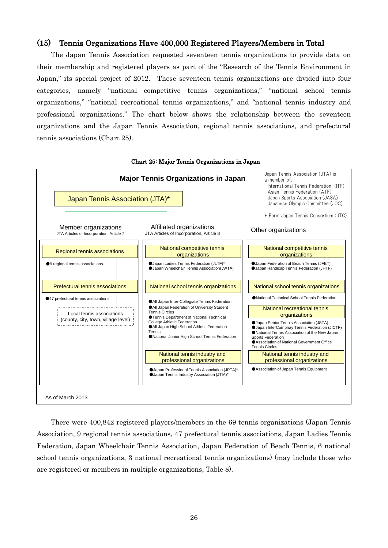### (15) Tennis Organizations Have 400,000 Registered Players/Members in Total

The Japan Tennis Association requested seventeen tennis organizations to provide data on their membership and registered players as part of the "Research of the Tennis Environment in Japan," its special project of 2012. These seventeen tennis organizations are divided into four categories, namely "national competitive tennis organizations," "national school tennis organizations," "national recreational tennis organizations," and "national tennis industry and professional organizations." The chart below shows the relationship between the seventeen organizations and the Japan Tennis Association, regional tennis associations, and prefectural tennis associations (Chart 25).



There were 400,842 registered players/members in the 69 tennis organizations (Japan Tennis Association, 9 regional tennis associations, 47 prefectural tennis associations, Japan Ladies Tennis Federation, Japan Wheelchair Tennis Association, Japan Federation of Beach Tennis, 6 national school tennis organizations, 3 national recreational tennis organizations) (may include those who are registered or members in multiple organizations, Table 8).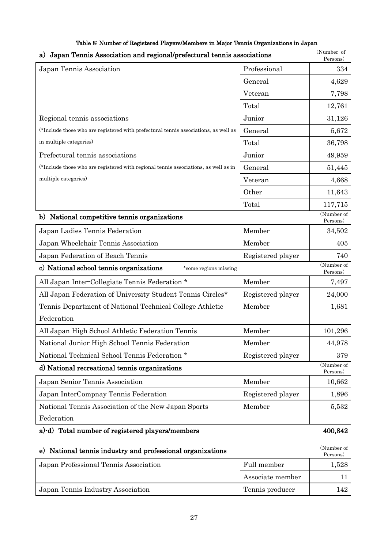| Japan Tennis Association and regional/prefectural tennis associations<br>a)         |                   | (Number of<br>Persons) |
|-------------------------------------------------------------------------------------|-------------------|------------------------|
| Japan Tennis Association                                                            | Professional      | 334                    |
|                                                                                     | General           | 4,629                  |
|                                                                                     | Veteran           | 7,798                  |
|                                                                                     | Total             | 12,761                 |
| Regional tennis associations                                                        | Junior            | 31,126                 |
| (*Include those who are registered with prefectural tennis associations, as well as | General           | 5,672                  |
| in multiple categories)                                                             | Total             | 36,798                 |
| Prefectural tennis associations                                                     | Junior            | 49,959                 |
| (*Include those who are registered with regional tennis associations, as well as in | General           | 51,445                 |
| multiple categories)                                                                | Veteran           | 4,668                  |
|                                                                                     | Other             | 11,643                 |
|                                                                                     | Total             | 117,715                |
| b) National competitive tennis organizations                                        |                   | (Number of<br>Persons) |
| Japan Ladies Tennis Federation                                                      | Member            | 34,502                 |
| Japan Wheelchair Tennis Association                                                 | Member            | 405                    |
| Japan Federation of Beach Tennis                                                    | Registered player | 740                    |
| c) National school tennis organizations<br>*some regions missing                    |                   | (Number of<br>Persons) |
| All Japan Inter-Collegiate Tennis Federation *                                      | Member            | 7,497                  |
| All Japan Federation of University Student Tennis Circles*                          | Registered player | 24,000                 |
| Tennis Department of National Technical College Athletic                            | Member            | 1,681                  |
| Federation                                                                          |                   |                        |
| All Japan High School Athletic Federation Tennis                                    | Member            | 101,296                |
| National Junior High School Tennis Federation                                       | Member            | 44,978                 |
| National Technical School Tennis Federation *                                       | Registered player | 379                    |
| d) National recreational tennis organizations                                       |                   | (Number of<br>Persons) |
| Japan Senior Tennis Association                                                     | Member            | 10,662                 |
| Japan InterCompnay Tennis Federation                                                | Registered player | 1,896                  |
| National Tennis Association of the New Japan Sports                                 | Member            | 5,532                  |
| Federation                                                                          |                   |                        |
| a)-d) Total number of registered players/members                                    |                   | 400,842                |
| e) National tennis industry and professional organizations                          |                   | (Number of             |

# Persons) Japan Professional Tennis Association Full member 1,528 Associate member 11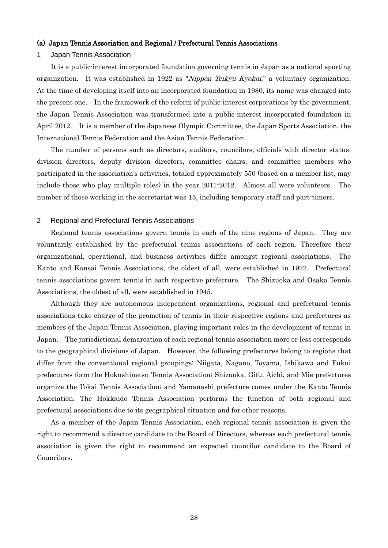#### (a) Japan Tennis Association and Regional / Prefectural Tennis Associations

#### 1 Japan Tennis Association

It is a public-interest incorporated foundation governing tennis in Japan as a national sporting organization. It was established in 1922 as "Nippon Teikyu Kyokai," a voluntary organization. At the time of developing itself into an incorporated foundation in 1980, its name was changed into the present one. In the framework of the reform of public-interest corporations by the government, the Japan Tennis Association was transformed into a public-interest incorporated foundation in April 2012. It is a member of the Japanese Olympic Committee, the Japan Sports Association, the International Tennis Federation and the Asian Tennis Federation.

The number of persons such as directors, auditors, councilors, officials with director status, division directors, deputy division directors, committee chairs, and committee members who participated in the association's activities, totaled approximately 550 (based on a member list, may include those who play multiple roles) in the year 2011-2012. Almost all were volunteers. The number of those working in the secretariat was 15, including temporary staff and part-timers.

#### 2 Regional and Prefectural Tennis Associations

Regional tennis associations govern tennis in each of the nine regions of Japan. They are voluntarily established by the prefectural tennis associations of each region. Therefore their organizational, operational, and business activities differ amongst regional associations. The Kanto and Kansai Tennis Associations, the oldest of all, were established in 1922. Prefectural tennis associations govern tennis in each respective prefecture. The Shizuoka and Osaka Tennis Associations, the oldest of all, were established in 1945.

Although they are autonomous independent organizations, regional and prefectural tennis associations take charge of the promotion of tennis in their respective regions and prefectures as members of the Japan Tennis Association, playing important roles in the development of tennis in Japan. The jurisdictional demarcation of each regional tennis association more or less corresponds to the geographical divisions of Japan. However, the following prefectures belong to regions that differ from the conventional regional groupings: Niigata, Nagano, Toyama, Ishikawa and Fukui prefectures form the Hokushinetsu Tennis Association; Shizuoka, Gifu, Aichi, and Mie prefectures organize the Tokai Tennis Association; and Yamanashi prefecture comes under the Kanto Tennis Association. The Hokkaido Tennis Association performs the function of both regional and prefectural associations due to its geographical situation and for other reasons.

As a member of the Japan Tennis Association, each regional tennis association is given the right to recommend a director candidate to the Board of Directors, whereas each prefectural tennis association is given the right to recommend an expected councilor candidate to the Board of Councilors.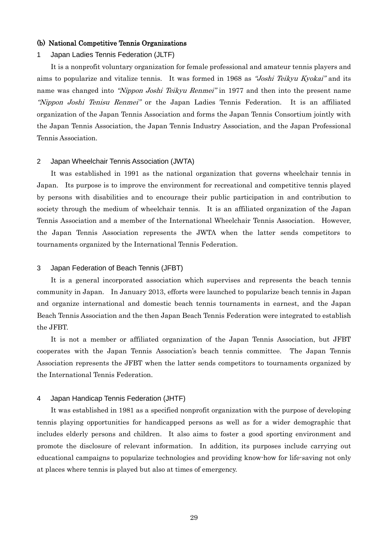#### (b) National Competitive Tennis Organizations

#### 1 Japan Ladies Tennis Federation (JLTF)

It is a nonprofit voluntary organization for female professional and amateur tennis players and aims to popularize and vitalize tennis. It was formed in 1968 as "Joshi Teikyu Kyokai" and its name was changed into "Nippon Joshi Teikyu Renmei" in 1977 and then into the present name "Nippon Joshi Tenisu Renmei" or the Japan Ladies Tennis Federation. It is an affiliated organization of the Japan Tennis Association and forms the Japan Tennis Consortium jointly with the Japan Tennis Association, the Japan Tennis Industry Association, and the Japan Professional Tennis Association.

#### 2 Japan Wheelchair Tennis Association (JWTA)

It was established in 1991 as the national organization that governs wheelchair tennis in Japan. Its purpose is to improve the environment for recreational and competitive tennis played by persons with disabilities and to encourage their public participation in and contribution to society through the medium of wheelchair tennis. It is an affiliated organization of the Japan Tennis Association and a member of the International Wheelchair Tennis Association. However, the Japan Tennis Association represents the JWTA when the latter sends competitors to tournaments organized by the International Tennis Federation.

#### 3 Japan Federation of Beach Tennis (JFBT)

It is a general incorporated association which supervises and represents the beach tennis community in Japan. In January 2013, efforts were launched to popularize beach tennis in Japan and organize international and domestic beach tennis tournaments in earnest, and the Japan Beach Tennis Association and the then Japan Beach Tennis Federation were integrated to establish the JFBT.

It is not a member or affiliated organization of the Japan Tennis Association, but JFBT cooperates with the Japan Tennis Association's beach tennis committee. The Japan Tennis Association represents the JFBT when the latter sends competitors to tournaments organized by the International Tennis Federation.

#### 4 Japan Handicap Tennis Federation (JHTF)

It was established in 1981 as a specified nonprofit organization with the purpose of developing tennis playing opportunities for handicapped persons as well as for a wider demographic that includes elderly persons and children. It also aims to foster a good sporting environment and promote the disclosure of relevant information. In addition, its purposes include carrying out educational campaigns to popularize technologies and providing know-how for life-saving not only at places where tennis is played but also at times of emergency.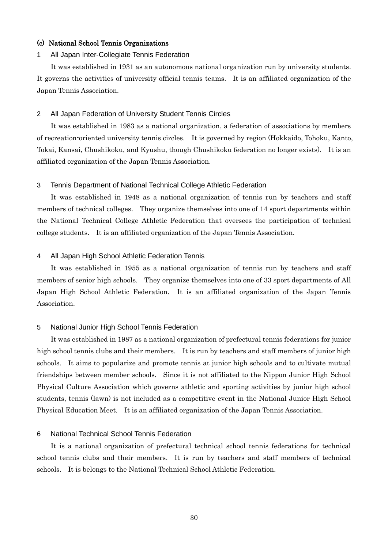#### (c) National School Tennis Organizations

#### 1 All Japan Inter-Collegiate Tennis Federation

It was established in 1931 as an autonomous national organization run by university students. It governs the activities of university official tennis teams. It is an affiliated organization of the Japan Tennis Association.

#### 2 All Japan Federation of University Student Tennis Circles

It was established in 1983 as a national organization, a federation of associations by members of recreation-oriented university tennis circles. It is governed by region (Hokkaido, Tohoku, Kanto, Tokai, Kansai, Chushikoku, and Kyushu, though Chushikoku federation no longer exists). It is an affiliated organization of the Japan Tennis Association.

#### 3 Tennis Department of National Technical College Athletic Federation

It was established in 1948 as a national organization of tennis run by teachers and staff members of technical colleges. They organize themselves into one of 14 sport departments within the National Technical College Athletic Federation that oversees the participation of technical college students. It is an affiliated organization of the Japan Tennis Association.

#### 4 All Japan High School Athletic Federation Tennis

It was established in 1955 as a national organization of tennis run by teachers and staff members of senior high schools. They organize themselves into one of 33 sport departments of All Japan High School Athletic Federation. It is an affiliated organization of the Japan Tennis Association.

#### 5 National Junior High School Tennis Federation

It was established in 1987 as a national organization of prefectural tennis federations for junior high school tennis clubs and their members. It is run by teachers and staff members of junior high schools. It aims to popularize and promote tennis at junior high schools and to cultivate mutual friendships between member schools. Since it is not affiliated to the Nippon Junior High School Physical Culture Association which governs athletic and sporting activities by junior high school students, tennis (lawn) is not included as a competitive event in the National Junior High School Physical Education Meet. It is an affiliated organization of the Japan Tennis Association.

#### 6 National Technical School Tennis Federation

It is a national organization of prefectural technical school tennis federations for technical school tennis clubs and their members. It is run by teachers and staff members of technical schools. It is belongs to the National Technical School Athletic Federation.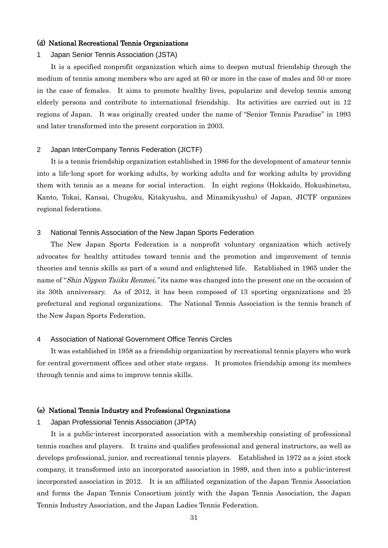#### (d) National Recreational Tennis Organizations

#### 1 Japan Senior Tennis Association (JSTA)

It is a specified nonprofit organization which aims to deepen mutual friendship through the medium of tennis among members who are aged at 60 or more in the case of males and 50 or more in the case of females. It aims to promote healthy lives, popularize and develop tennis among elderly persons and contribute to international friendship. Its activities are carried out in 12 regions of Japan. It was originally created under the name of "Senior Tennis Paradise" in 1993 and later transformed into the present corporation in 2003.

#### 2 Japan InterCompany Tennis Federation (JICTF)

It is a tennis friendship organization established in 1986 for the development of amateur tennis into a life-long sport for working adults, by working adults and for working adults by providing them with tennis as a means for social interaction. In eight regions (Hokkaido, Hokushinetsu, Kanto, Tokai, Kansai, Chugoku, Kitakyushu, and Minamikyushu) of Japan, JICTF organizes regional federations.

#### 3 National Tennis Association of the New Japan Sports Federation

The New Japan Sports Federation is a nonprofit voluntary organization which actively advocates for healthy attitudes toward tennis and the promotion and improvement of tennis theories and tennis skills as part of a sound and enlightened life. Established in 1965 under the name of "Shin Nippon Taiiku Renmei," its name was changed into the present one on the occasion of its 30th anniversary. As of 2012, it has been composed of 13 sporting organizations and 25 prefectural and regional organizations. The National Tennis Association is the tennis branch of the New Japan Sports Federation.

#### 4 Association of National Government Office Tennis Circles

It was established in 1958 as a friendship organization by recreational tennis players who work for central government offices and other state organs. It promotes friendship among its members through tennis and aims to improve tennis skills.

#### (e) National Tennis Industry and Professional Organizations

#### 1 Japan Professional Tennis Association (JPTA)

It is a public-interest incorporated association with a membership consisting of professional tennis coaches and players. It trains and qualifies professional and general instructors, as well as develops professional, junior, and recreational tennis players. Established in 1972 as a joint stock company, it transformed into an incorporated association in 1989, and then into a public-interest incorporated association in 2012. It is an affiliated organization of the Japan Tennis Association and forms the Japan Tennis Consortium jointly with the Japan Tennis Association, the Japan Tennis Industry Association, and the Japan Ladies Tennis Federation.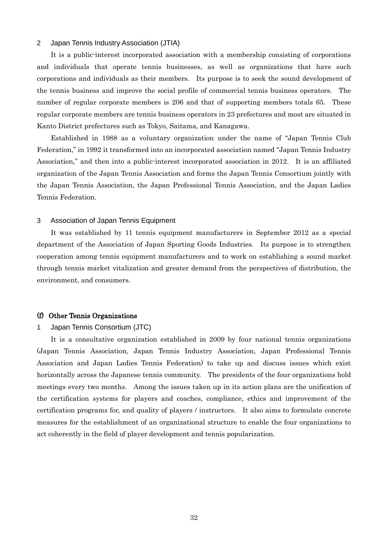#### 2 Japan Tennis Industry Association (JTIA)

It is a public-interest incorporated association with a membership consisting of corporations and individuals that operate tennis businesses, as well as organizations that have such corporations and individuals as their members. Its purpose is to seek the sound development of the tennis business and improve the social profile of commercial tennis business operators. The number of regular corporate members is 206 and that of supporting members totals 65. These regular corporate members are tennis business operators in 23 prefectures and most are situated in Kanto District prefectures such as Tokyo, Saitama, and Kanagawa.

Established in 1988 as a voluntary organization under the name of "Japan Tennis Club Federation," in 1992 it transformed into an incorporated association named "Japan Tennis Industry Association," and then into a public-interest incorporated association in 2012. It is an affiliated organization of the Japan Tennis Association and forms the Japan Tennis Consortium jointly with the Japan Tennis Association, the Japan Professional Tennis Association, and the Japan Ladies Tennis Federation.

#### 3 Association of Japan Tennis Equipment

It was established by 11 tennis equipment manufacturers in September 2012 as a special department of the Association of Japan Sporting Goods Industries. Its purpose is to strengthen cooperation among tennis equipment manufacturers and to work on establishing a sound market through tennis market vitalization and greater demand from the perspectives of distribution, the environment, and consumers.

#### (f) Other Tennis Organizations

#### 1 Japan Tennis Consortium (JTC)

It is a consultative organization established in 2009 by four national tennis organizations (Japan Tennis Association, Japan Tennis Industry Association, Japan Professional Tennis Association and Japan Ladies Tennis Federation) to take up and discuss issues which exist horizontally across the Japanese tennis community. The presidents of the four organizations hold meetings every two months. Among the issues taken up in its action plans are the unification of the certification systems for players and coaches, compliance, ethics and improvement of the certification programs for, and quality of players / instructors. It also aims to formulate concrete measures for the establishment of an organizational structure to enable the four organizations to act coherently in the field of player development and tennis popularization.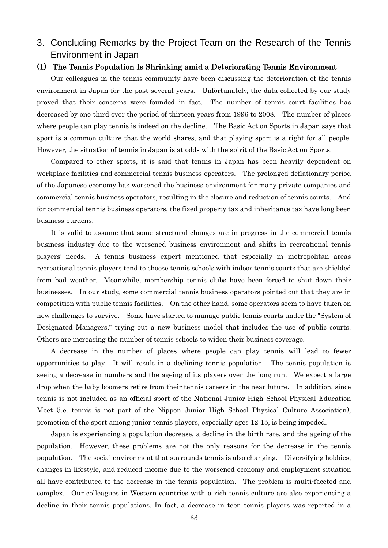3. Concluding Remarks by the Project Team on the Research of the Tennis Environment in Japan

### (1) The Tennis Population Is Shrinking amid a Deteriorating Tennis Environment

Our colleagues in the tennis community have been discussing the deterioration of the tennis environment in Japan for the past several years. Unfortunately, the data collected by our study proved that their concerns were founded in fact. The number of tennis court facilities has decreased by one-third over the period of thirteen years from 1996 to 2008. The number of places where people can play tennis is indeed on the decline. The Basic Act on Sports in Japan says that sport is a common culture that the world shares, and that playing sport is a right for all people. However, the situation of tennis in Japan is at odds with the spirit of the Basic Act on Sports.

Compared to other sports, it is said that tennis in Japan has been heavily dependent on workplace facilities and commercial tennis business operators. The prolonged deflationary period of the Japanese economy has worsened the business environment for many private companies and commercial tennis business operators, resulting in the closure and reduction of tennis courts. And for commercial tennis business operators, the fixed property tax and inheritance tax have long been business burdens.

It is valid to assume that some structural changes are in progress in the commercial tennis business industry due to the worsened business environment and shifts in recreational tennis players' needs. A tennis business expert mentioned that especially in metropolitan areas recreational tennis players tend to choose tennis schools with indoor tennis courts that are shielded from bad weather. Meanwhile, membership tennis clubs have been forced to shut down their businesses. In our study, some commercial tennis business operators pointed out that they are in competition with public tennis facilities. On the other hand, some operators seem to have taken on new challenges to survive. Some have started to manage public tennis courts under the "System of Designated Managers," trying out a new business model that includes the use of public courts. Others are increasing the number of tennis schools to widen their business coverage.

A decrease in the number of places where people can play tennis will lead to fewer opportunities to play. It will result in a declining tennis population. The tennis population is seeing a decrease in numbers and the ageing of its players over the long run. We expect a large drop when the baby boomers retire from their tennis careers in the near future. In addition, since tennis is not included as an official sport of the National Junior High School Physical Education Meet (i.e. tennis is not part of the Nippon Junior High School Physical Culture Association), promotion of the sport among junior tennis players, especially ages 12-15, is being impeded.

Japan is experiencing a population decrease, a decline in the birth rate, and the ageing of the population. However, these problems are not the only reasons for the decrease in the tennis population. The social environment that surrounds tennis is also changing. Diversifying hobbies, changes in lifestyle, and reduced income due to the worsened economy and employment situation all have contributed to the decrease in the tennis population. The problem is multi-faceted and complex. Our colleagues in Western countries with a rich tennis culture are also experiencing a decline in their tennis populations. In fact, a decrease in teen tennis players was reported in a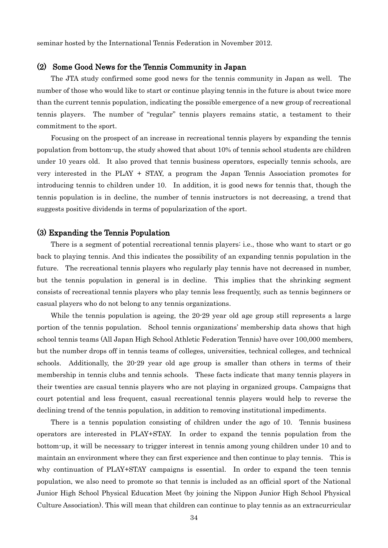seminar hosted by the International Tennis Federation in November 2012.

### (2) Some Good News for the Tennis Community in Japan

The JTA study confirmed some good news for the tennis community in Japan as well. The number of those who would like to start or continue playing tennis in the future is about twice more than the current tennis population, indicating the possible emergence of a new group of recreational tennis players. The number of "regular" tennis players remains static, a testament to their commitment to the sport.

Focusing on the prospect of an increase in recreational tennis players by expanding the tennis population from bottom-up, the study showed that about 10% of tennis school students are children under 10 years old. It also proved that tennis business operators, especially tennis schools, are very interested in the PLAY + STAY, a program the Japan Tennis Association promotes for introducing tennis to children under 10. In addition, it is good news for tennis that, though the tennis population is in decline, the number of tennis instructors is not decreasing, a trend that suggests positive dividends in terms of popularization of the sport.

#### (3) Expanding the Tennis Population

There is a segment of potential recreational tennis players: i.e., those who want to start or go back to playing tennis. And this indicates the possibility of an expanding tennis population in the future. The recreational tennis players who regularly play tennis have not decreased in number, but the tennis population in general is in decline. This implies that the shrinking segment consists of recreational tennis players who play tennis less frequently, such as tennis beginners or casual players who do not belong to any tennis organizations.

While the tennis population is ageing, the 20-29 year old age group still represents a large portion of the tennis population. School tennis organizations' membership data shows that high school tennis teams (All Japan High School Athletic Federation Tennis) have over 100,000 members, but the number drops off in tennis teams of colleges, universities, technical colleges, and technical schools. Additionally, the 20-29 year old age group is smaller than others in terms of their membership in tennis clubs and tennis schools. These facts indicate that many tennis players in their twenties are casual tennis players who are not playing in organized groups. Campaigns that court potential and less frequent, casual recreational tennis players would help to reverse the declining trend of the tennis population, in addition to removing institutional impediments.

There is a tennis population consisting of children under the ago of 10. Tennis business operators are interested in PLAY+STAY. In order to expand the tennis population from the bottom-up, it will be necessary to trigger interest in tennis among young children under 10 and to maintain an environment where they can first experience and then continue to play tennis. This is why continuation of PLAY+STAY campaigns is essential. In order to expand the teen tennis population, we also need to promote so that tennis is included as an official sport of the National Junior High School Physical Education Meet (by joining the Nippon Junior High School Physical Culture Association). This will mean that children can continue to play tennis as an extracurricular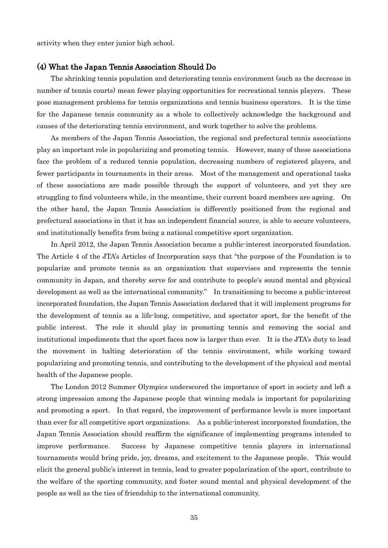activity when they enter junior high school.

### (4) What the Japan Tennis Association Should Do

The shrinking tennis population and deteriorating tennis environment (such as the decrease in number of tennis courts) mean fewer playing opportunities for recreational tennis players. These pose management problems for tennis organizations and tennis business operators. It is the time for the Japanese tennis community as a whole to collectively acknowledge the background and causes of the deteriorating tennis environment, and work together to solve the problems.

As members of the Japan Tennis Association, the regional and prefectural tennis associations play an important role in popularizing and promoting tennis. However, many of these associations face the problem of a reduced tennis population, decreasing numbers of registered players, and fewer participants in tournaments in their areas. Most of the management and operational tasks of these associations are made possible through the support of volunteers, and yet they are struggling to find volunteers while, in the meantime, their current board members are ageing. On the other hand, the Japan Tennis Association is differently positioned from the regional and prefectural associations in that it has an independent financial source, is able to secure volunteers, and institutionally benefits from being a national competitive sport organization.

In April 2012, the Japan Tennis Association became a public-interest incorporated foundation. The Article 4 of the JTA's Articles of Incorporation says that "the purpose of the Foundation is to popularize and promote tennis as an organization that supervises and represents the tennis community in Japan, and thereby serve for and contribute to people's sound mental and physical development as well as the international community." In transitioning to become a public-interest incorporated foundation, the Japan Tennis Association declared that it will implement programs for the development of tennis as a life-long, competitive, and spectator sport, for the benefit of the public interest. The role it should play in promoting tennis and removing the social and institutional impediments that the sport faces now is larger than ever. It is the JTA's duty to lead the movement in halting deterioration of the tennis environment, while working toward popularizing and promoting tennis, and contributing to the development of the physical and mental health of the Japanese people.

The London 2012 Summer Olympics underscored the importance of sport in society and left a strong impression among the Japanese people that winning medals is important for popularizing and promoting a sport. In that regard, the improvement of performance levels is more important than ever for all competitive sport organizations. As a public-interest incorporated foundation, the Japan Tennis Association should reaffirm the significance of implementing programs intended to improve performance. Success by Japanese competitive tennis players in international tournaments would bring pride, joy, dreams, and excitement to the Japanese people. This would elicit the general public's interest in tennis, lead to greater popularization of the sport, contribute to the welfare of the sporting community, and foster sound mental and physical development of the people as well as the ties of friendship to the international community.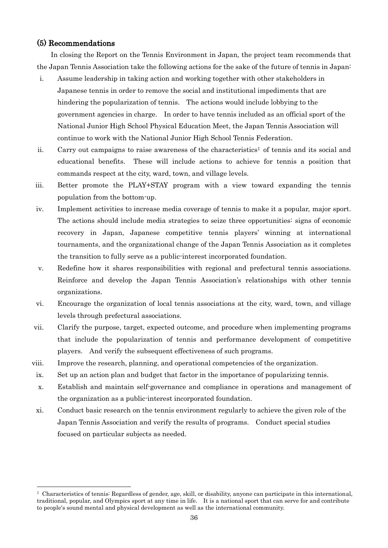### (5) Recommendations

 $\overline{a}$ 

In closing the Report on the Tennis Environment in Japan, the project team recommends that the Japan Tennis Association take the following actions for the sake of the future of tennis in Japan:

- i. Assume leadership in taking action and working together with other stakeholders in Japanese tennis in order to remove the social and institutional impediments that are hindering the popularization of tennis. The actions would include lobbying to the government agencies in charge. In order to have tennis included as an official sport of the National Junior High School Physical Education Meet, the Japan Tennis Association will continue to work with the National Junior High School Tennis Federation.
- ii. Carry out campaigns to raise awareness of the characteristics<sup>1</sup> of tennis and its social and educational benefits. These will include actions to achieve for tennis a position that commands respect at the city, ward, town, and village levels.
- iii. Better promote the PLAY+STAY program with a view toward expanding the tennis population from the bottom-up.
- iv. Implement activities to increase media coverage of tennis to make it a popular, major sport. The actions should include media strategies to seize three opportunities: signs of economic recovery in Japan, Japanese competitive tennis players' winning at international tournaments, and the organizational change of the Japan Tennis Association as it completes the transition to fully serve as a public-interest incorporated foundation.
- v. Redefine how it shares responsibilities with regional and prefectural tennis associations. Reinforce and develop the Japan Tennis Association's relationships with other tennis organizations.
- vi. Encourage the organization of local tennis associations at the city, ward, town, and village levels through prefectural associations.
- vii. Clarify the purpose, target, expected outcome, and procedure when implementing programs that include the popularization of tennis and performance development of competitive players. And verify the subsequent effectiveness of such programs.
- viii. Improve the research, planning, and operational competencies of the organization.
- ix. Set up an action plan and budget that factor in the importance of popularizing tennis.
- x. Establish and maintain self-governance and compliance in operations and management of the organization as a public-interest incorporated foundation.
- xi. Conduct basic research on the tennis environment regularly to achieve the given role of the Japan Tennis Association and verify the results of programs. Conduct special studies focused on particular subjects as needed.

 $1$  Characteristics of tennis: Regardless of gender, age, skill, or disability, anyone can participate in this international, traditional, popular, and Olympics sport at any time in life. It is a national sport that can serve for and contribute to people's sound mental and physical development as well as the international community.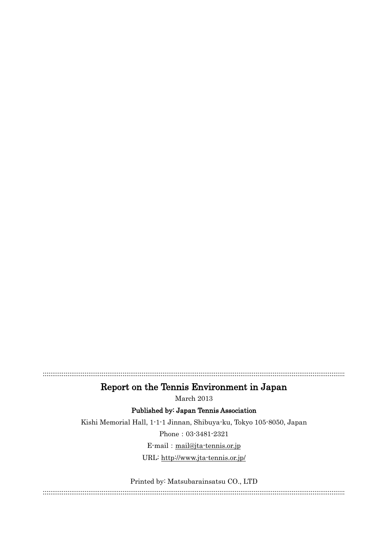:::::::::::::::::::::::::::::::::::::::::::::::::::::::::::::::::::::::::::::::::::::::::::::::::::::::::::::::::::::::::::::::::::::::::::::::::::::::::::::::

# Report on the Tennis Environment in Japan

March 2013

Published by: Japan Tennis Association

Kishi Memorial Hall, 1-1-1 Jinnan, Shibuya-ku, Tokyo 105-8050, Japan

Phone:03-3481-2321

E-mail: [mail@jta-tennis.or.jp](mailto:mail@jta-tennis.or.jp)

URL:<http://www.jta-tennis.or.jp/>

Printed by: Matsubarainsatsu CO., LTD

:::::::::::::::::::::::::::::::::::::::::::::::::::::::::::::::::::::::::::::::::::::::::::::::::::::::::::::::::::::::::::::::::::::::::::::::::::::::::::::::